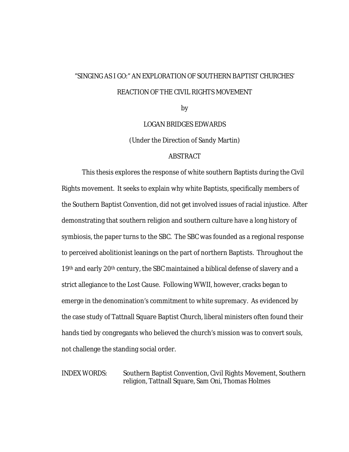# "SINGING AS I GO:" AN EXPLORATION OF SOUTHERN BAPTIST CHURCHES' REACTION OF THE CIVIL RIGHTS MOVEMENT

by

LOGAN BRIDGES EDWARDS

(Under the Direction of Sandy Martin)

## ABSTRACT

This thesis explores the response of white southern Baptists during the Civil Rights movement. It seeks to explain why white Baptists, specifically members of the Southern Baptist Convention, did not get involved issues of racial injustice. After demonstrating that southern religion and southern culture have a long history of symbiosis, the paper turns to the SBC. The SBC was founded as a regional response to perceived abolitionist leanings on the part of northern Baptists. Throughout the 19th and early 20th century, the SBC maintained a biblical defense of slavery and a strict allegiance to the Lost Cause. Following WWII, however, cracks began to emerge in the denomination's commitment to white supremacy. As evidenced by the case study of Tattnall Square Baptist Church, liberal ministers often found their hands tied by congregants who believed the church's mission was to convert souls, not challenge the standing social order.

INDEX WORDS: Southern Baptist Convention, Civil Rights Movement, Southern religion, Tattnall Square, Sam Oni, Thomas Holmes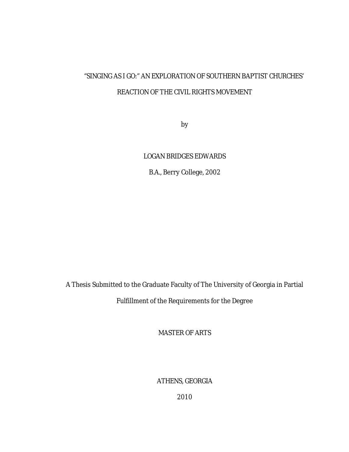# "SINGING AS I GO:" AN EXPLORATION OF SOUTHERN BAPTIST CHURCHES' REACTION OF THE CIVIL RIGHTS MOVEMENT

by

# LOGAN BRIDGES EDWARDS

B.A., Berry College, 2002

A Thesis Submitted to the Graduate Faculty of The University of Georgia in Partial Fulfillment of the Requirements for the Degree

MASTER OF ARTS

ATHENS, GEORGIA

2010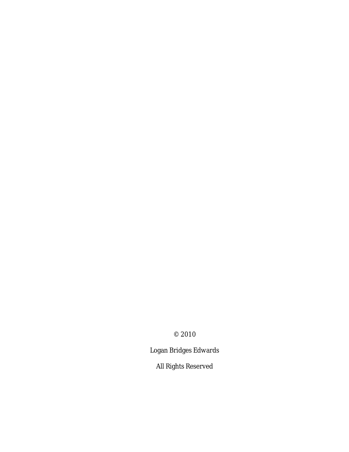© 2010

Logan Bridges Edwards

All Rights Reserved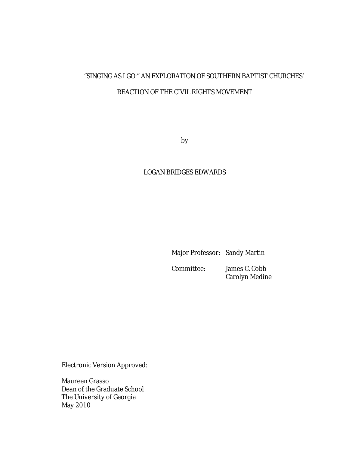# "SINGING AS I GO:" AN EXPLORATION OF SOUTHERN BAPTIST CHURCHES' REACTION OF THE CIVIL RIGHTS MOVEMENT

by

# LOGAN BRIDGES EDWARDS

Major Professor: Sandy Martin

 Committee: James C. Cobb Carolyn Medine

Electronic Version Approved:

Maureen Grasso Dean of the Graduate School The University of Georgia May 2010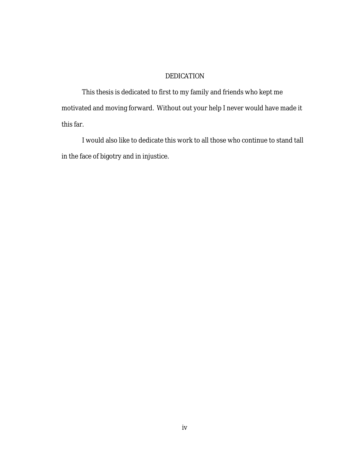# DEDICATION

This thesis is dedicated to first to my family and friends who kept me motivated and moving forward. Without out your help I never would have made it this far.

I would also like to dedicate this work to all those who continue to stand tall in the face of bigotry and in injustice.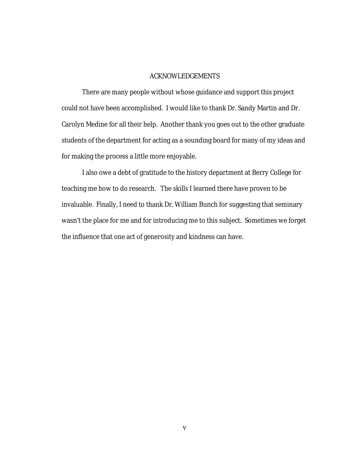#### ACKNOWLEDGEMENTS

There are many people without whose guidance and support this project could not have been accomplished. I would like to thank Dr. Sandy Martin and Dr. Carolyn Medine for all their help. Another thank you goes out to the other graduate students of the department for acting as a sounding board for many of my ideas and for making the process a little more enjoyable.

I also owe a debt of gratitude to the history department at Berry College for teaching me how to do research. The skills I learned there have proven to be invaluable. Finally, I need to thank Dr. William Bunch for suggesting that seminary wasn't the place for me and for introducing me to this subject. Sometimes we forget the influence that one act of generosity and kindness can have.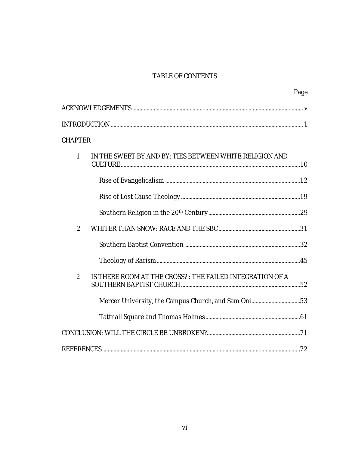# TABLE OF CONTENTS

|                |                                                          | Page |
|----------------|----------------------------------------------------------|------|
|                |                                                          |      |
|                |                                                          |      |
| <b>CHAPTER</b> |                                                          |      |
| $\mathbf{1}$   | IN THE SWEET BY AND BY: TIES BETWEEN WHITE RELIGION AND  |      |
|                |                                                          |      |
|                |                                                          |      |
|                |                                                          |      |
| $\overline{2}$ |                                                          |      |
|                |                                                          |      |
|                |                                                          |      |
| 2              | IS THERE ROOM AT THE CROSS?: THE FAILED INTEGRATION OF A |      |
|                | Mercer University, the Campus Church, and Sam Oni53      |      |
|                |                                                          |      |
|                |                                                          |      |
|                |                                                          |      |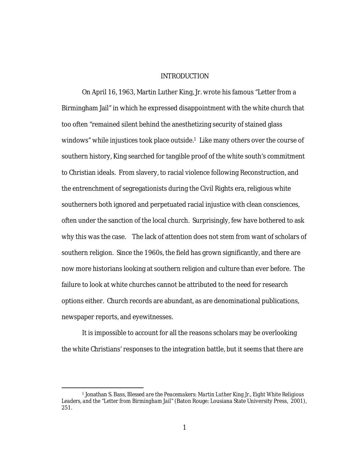#### INTRODUCTION

On April 16, 1963, Martin Luther King, Jr. wrote his famous "Letter from a Birmingham Jail" in which he expressed disappointment with the white church that too often "remained silent behind the anesthetizing security of stained glass windows" while injustices took place outside.<sup>1</sup> Like many others over the course of southern history, King searched for tangible proof of the white south's commitment to Christian ideals. From slavery, to racial violence following Reconstruction, and the entrenchment of segregationists during the Civil Rights era, religious white southerners both ignored and perpetuated racial injustice with clean consciences, often under the sanction of the local church. Surprisingly, few have bothered to ask why this was the case. The lack of attention does not stem from want of scholars of southern religion. Since the 1960s, the field has grown significantly, and there are now more historians looking at southern religion and culture than ever before. The failure to look at white churches cannot be attributed to the need for research options either. Church records are abundant, as are denominational publications, newspaper reports, and eyewitnesses.

It is impossible to account for all the reasons scholars may be overlooking the white Christians' responses to the integration battle, but it seems that there are

 <sup>1</sup> Jonathan S. Bass, *Blessed are the Peacemakers: Martin Luther King Jr., Eight White Religious Leaders, and the "Letter from Birmingham Jail"* (Baton Rouge: Lousiana State University Press, 2001), 251.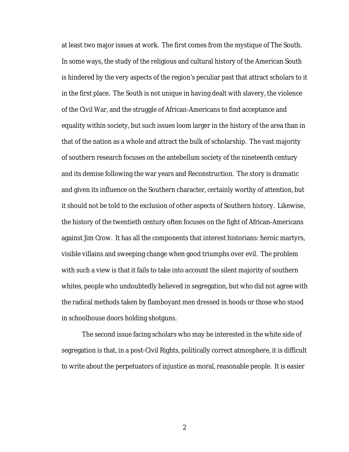at least two major issues at work. The first comes from the mystique of The South. In some ways, the study of the religious and cultural history of the American South is hindered by the very aspects of the region's peculiar past that attract scholars to it in the first place. The South is not unique in having dealt with slavery, the violence of the Civil War, and the struggle of African-Americans to find acceptance and equality within society, but such issues loom larger in the history of the area than in that of the nation as a whole and attract the bulk of scholarship. The vast majority of southern research focuses on the antebellum society of the nineteenth century and its demise following the war years and Reconstruction. The story is dramatic and given its influence on the Southern character, certainly worthy of attention, but it should not be told to the exclusion of other aspects of Southern history. Likewise, the history of the twentieth century often focuses on the fight of African-Americans against Jim Crow. It has all the components that interest historians: heroic martyrs, visible villains and sweeping change when good triumphs over evil. The problem with such a view is that it fails to take into account the silent majority of southern whites, people who undoubtedly believed in segregation, but who did not agree with the radical methods taken by flamboyant men dressed in hoods or those who stood in schoolhouse doors holding shotguns.

The second issue facing scholars who may be interested in the white side of segregation is that, in a post-Civil Rights, politically correct atmosphere, it is difficult to write about the perpetuators of injustice as moral, reasonable people. It is easier

2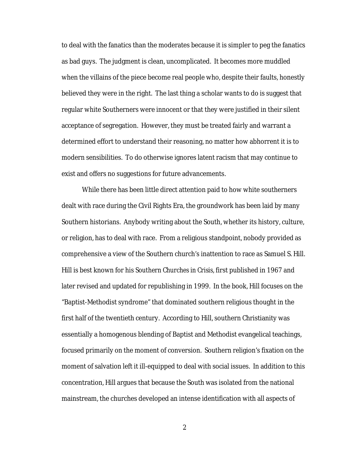to deal with the fanatics than the moderates because it is simpler to peg the fanatics as bad guys. The judgment is clean, uncomplicated. It becomes more muddled when the villains of the piece become real people who, despite their faults, honestly believed they were in the right. The last thing a scholar wants to do is suggest that regular white Southerners were innocent or that they were justified in their silent acceptance of segregation. However, they must be treated fairly and warrant a determined effort to understand their reasoning, no matter how abhorrent it is to modern sensibilities. To do otherwise ignores latent racism that may continue to exist and offers no suggestions for future advancements.

While there has been little direct attention paid to how white southerners dealt with race during the Civil Rights Era, the groundwork has been laid by many Southern historians. Anybody writing about the South, whether its history, culture, or religion, has to deal with race. From a religious standpoint, nobody provided as comprehensive a view of the Southern church's inattention to race as Samuel S. Hill. Hill is best known for his *Southern Churches in Crisis*, first published in 1967 and later revised and updated for republishing in 1999. In the book, Hill focuses on the "Baptist-Methodist syndrome" that dominated southern religious thought in the first half of the twentieth century. According to Hill, southern Christianity was essentially a homogenous blending of Baptist and Methodist evangelical teachings, focused primarily on the moment of conversion. Southern religion's fixation on the moment of salvation left it ill-equipped to deal with social issues. In addition to this concentration, Hill argues that because the South was isolated from the national mainstream, the churches developed an intense identification with all aspects of

2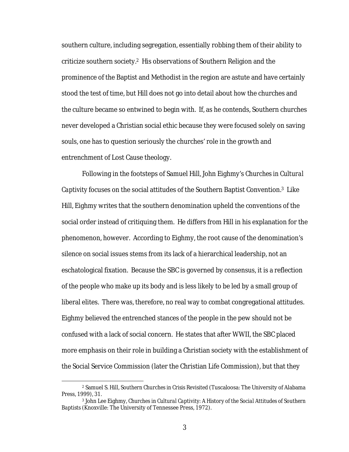southern culture, including segregation, essentially robbing them of their ability to criticize southern society.2 His observations of Southern Religion and the prominence of the Baptist and Methodist in the region are astute and have certainly stood the test of time, but Hill does not go into detail about *how* the churches and the culture became so entwined to begin with. If, as he contends, Southern churches never developed a Christian social ethic because they were focused solely on saving souls, one has to question seriously the churches' role in the growth and entrenchment of Lost Cause theology.

Following in the footsteps of Samuel Hill, John Eighmy's *Churches in Cultural Captivity* focuses on the social attitudes of the Southern Baptist Convention.3 Like Hill, Eighmy writes that the southern denomination upheld the conventions of the social order instead of critiquing them. He differs from Hill in his explanation for the phenomenon, however. According to Eighmy, the root cause of the denomination's silence on social issues stems from its lack of a hierarchical leadership, not an eschatological fixation. Because the SBC is governed by consensus, it is a reflection of the people who make up its body and is less likely to be led by a small group of liberal elites. There was, therefore, no real way to combat congregational attitudes. Eighmy believed the entrenched stances of the people in the pew should not be confused with a lack of social concern. He states that after WWII, the SBC placed more emphasis on their role in building a Christian society with the establishment of the Social Service Commission (later the Christian Life Commission), but that they

 <sup>2</sup> Samuel S. Hill, *Southern Churches in Crisis Revisited* (Tuscaloosa: The University of Alabama Press, 1999), 31.

<sup>3</sup> John Lee Eighmy, *Churches in Cultural Captivity: A History of the Social Attitudes of Southern Baptists* (Knoxville: The University of Tennessee Press, 1972).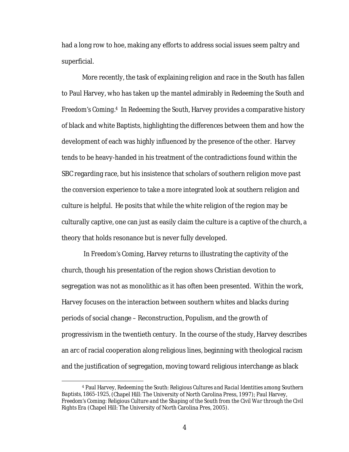had a long row to hoe, making any efforts to address social issues seem paltry and superficial.

More recently, the task of explaining religion and race in the South has fallen to Paul Harvey, who has taken up the mantel admirably in *Redeeming the South* and *Freedom's Coming.4* In *Redeeming the South*, Harvey provides a comparative history of black and white Baptists, highlighting the differences between them and how the development of each was highly influenced by the presence of the other. Harvey tends to be heavy-handed in his treatment of the contradictions found within the SBC regarding race, but his insistence that scholars of southern religion move past the conversion experience to take a more integrated look at southern religion and culture is helpful. He posits that while the white religion of the region may be culturally captive, one can just as easily claim the culture is a captive of the church, a theory that holds resonance but is never fully developed.

In *Freedom's Coming,* Harvey returns to illustrating the captivity of the church, though his presentation of the region shows Christian devotion to segregation was not as monolithic as it has often been presented.Within the work, Harvey focuses on the interaction between southern whites and blacks during periods of social change – Reconstruction, Populism, and the growth of progressivism in the twentieth century. In the course of the study, Harvey describes an arc of racial cooperation along religious lines, beginning with theological racism and the justification of segregation, moving toward religious interchange as black

 <sup>4</sup> Paul Harvey, *Redeeming the South: Religious Cultures and Racial Identities among Southern Baptists, 1865-1925,* (Chapel Hill: The University of North Carolina Press, 1997); Paul Harvey, *Freedom's Coming: Religious Culture and the Shaping of the South from the Civil War through the Civil Rights Era* (Chapel Hill: The University of North Carolina Pres, 2005).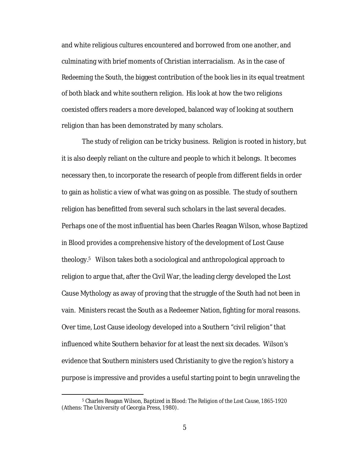and white religious cultures encountered and borrowed from one another, and culminating with brief moments of Christian interracialism. As in the case of *Redeeming the South*, the biggest contribution of the book lies in its equal treatment of both black and white southern religion. His look at how the two religions coexisted offers readers a more developed, balanced way of looking at southern religion than has been demonstrated by many scholars.

The study of religion can be tricky business. Religion is rooted in history, but it is also deeply reliant on the culture and people to which it belongs. It becomes necessary then, to incorporate the research of people from different fields in order to gain as holistic a view of what was going on as possible. The study of southern religion has benefitted from several such scholars in the last several decades. Perhaps one of the most influential has been Charles Reagan Wilson, whose *Baptized in Blood* provides a comprehensive history of the development of Lost Cause theology.5 Wilson takes both a sociological and anthropological approach to religion to argue that, after the Civil War, the leading clergy developed the Lost Cause Mythology as away of proving that the struggle of the South had not been in vain. Ministers recast the South as a Redeemer Nation, fighting for moral reasons. Over time, Lost Cause ideology developed into a Southern "civil religion" that influenced white Southern behavior for at least the next six decades. Wilson's evidence that Southern ministers used Christianity to give the region's history a purpose is impressive and provides a useful starting point to begin unraveling the

 <sup>5</sup> Charles Reagan Wilson, *Baptized in Blood: The Religion of the Lost Cause, 1865-1920*  (Athens: The University of Georgia Press, 1980).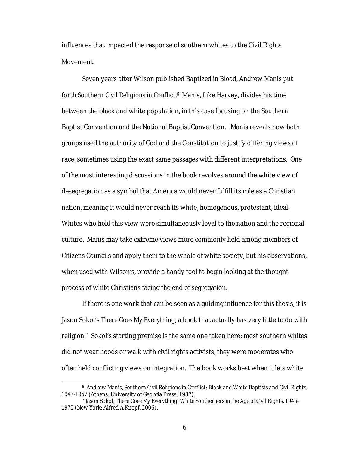influences that impacted the response of southern whites to the Civil Rights Movement.

Seven years after Wilson published *Baptized in Blood,* Andrew Manis put forth *Southern Civil Religions in Conflict.6* Manis, Like Harvey, divides his time between the black and white population, in this case focusing on the Southern Baptist Convention and the National Baptist Convention. Manis reveals how both groups used the authority of God and the Constitution to justify differing views of race, sometimes using the exact same passages with different interpretations. One of the most interesting discussions in the book revolves around the white view of desegregation as a symbol that America would never fulfill its role as a Christian nation, meaning it would never reach its white, homogenous, protestant, ideal. Whites who held this view were simultaneously loyal to the nation and the regional culture. Manis may take extreme views more commonly held among members of Citizens Councils and apply them to the whole of white society, but his observations, when used with Wilson's, provide a handy tool to begin looking at the thought process of white Christians facing the end of segregation.

If there is one work that can be seen as a guiding influence for this thesis, it is Jason Sokol's *There Goes My Everything,* a book that actually has very little to do with religion.*7* Sokol's starting premise is the same one taken here: most southern whites did not wear hoods or walk with civil rights activists, they were moderates who often held conflicting views on integration. The book works best when it lets white

 <sup>6</sup> Andrew Manis, *Southern Civil Religions in Conflict: Black and White Baptists and Civil Rights, 1947-1957* (Athens: University of Georgia Press, 1987).

<sup>7</sup> Jason Sokol, *There Goes My Everything: White Southerners in the Age of Civil Rights, 1945- 1975* (New York: Alfred A Knopf, 2006).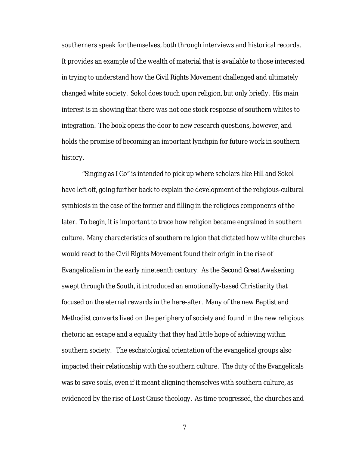southerners speak for themselves, both through interviews and historical records. It provides an example of the wealth of material that is available to those interested in trying to understand how the Civil Rights Movement challenged and ultimately changed white society. Sokol does touch upon religion, but only briefly. His main interest is in showing that there was not one stock response of southern whites to integration. The book opens the door to new research questions, however, and holds the promise of becoming an important lynchpin for future work in southern history.

"Singing as I Go" is intended to pick up where scholars like Hill and Sokol have left off, going further back to explain the development of the religious-cultural symbiosis in the case of the former and filling in the religious components of the later. To begin, it is important to trace how religion became engrained in southern culture. Many characteristics of southern religion that dictated how white churches would react to the Civil Rights Movement found their origin in the rise of Evangelicalism in the early nineteenth century. As the Second Great Awakening swept through the South, it introduced an emotionally-based Christianity that focused on the eternal rewards in the here-after. Many of the new Baptist and Methodist converts lived on the periphery of society and found in the new religious rhetoric an escape and a equality that they had little hope of achieving within southern society. The eschatological orientation of the evangelical groups also impacted their relationship with the southern culture. The duty of the Evangelicals was to save souls, even if it meant aligning themselves with southern culture, as evidenced by the rise of Lost Cause theology. As time progressed, the churches and

7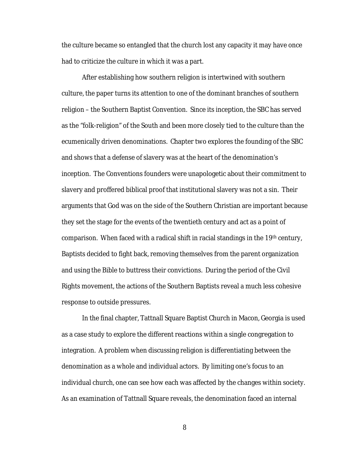the culture became so entangled that the church lost any capacity it may have once had to criticize the culture in which it was a part.

After establishing how southern religion is intertwined with southern culture, the paper turns its attention to one of the dominant branches of southern religion – the Southern Baptist Convention. Since its inception, the SBC has served as the "folk-religion" of the South and been more closely tied to the culture than the ecumenically driven denominations. Chapter two explores the founding of the SBC and shows that a defense of slavery was at the heart of the denomination's inception. The Conventions founders were unapologetic about their commitment to slavery and proffered biblical proof that institutional slavery was not a sin. Their arguments that God was on the side of the Southern Christian are important because they set the stage for the events of the twentieth century and act as a point of comparison. When faced with a radical shift in racial standings in the  $19<sup>th</sup>$  century, Baptists decided to fight back, removing themselves from the parent organization and using the Bible to buttress their convictions. During the period of the Civil Rights movement, the actions of the Southern Baptists reveal a much less cohesive response to outside pressures.

In the final chapter, Tattnall Square Baptist Church in Macon, Georgia is used as a case study to explore the different reactions within a single congregation to integration. A problem when discussing religion is differentiating between the denomination as a whole and individual actors. By limiting one's focus to an individual church, one can see how each was affected by the changes within society. As an examination of Tattnall Square reveals, the denomination faced an internal

8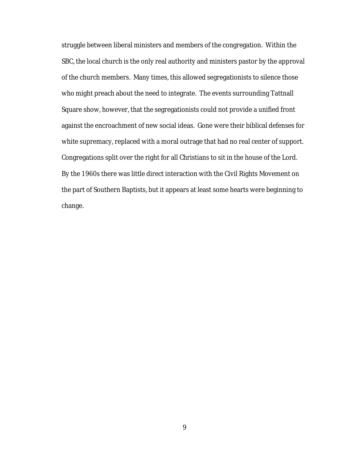struggle between liberal ministers and members of the congregation. Within the SBC, the local church is the only real authority and ministers pastor by the approval of the church members. Many times, this allowed segregationists to silence those who might preach about the need to integrate. The events surrounding Tattnall Square show, however, that the segregationists could not provide a unified front against the encroachment of new social ideas. Gone were their biblical defenses for white supremacy, replaced with a moral outrage that had no real center of support. Congregations split over the right for all Christians to sit in the house of the Lord. By the 1960s there was little direct interaction with the Civil Rights Movement on the part of Southern Baptists, but it appears at least some hearts were beginning to change.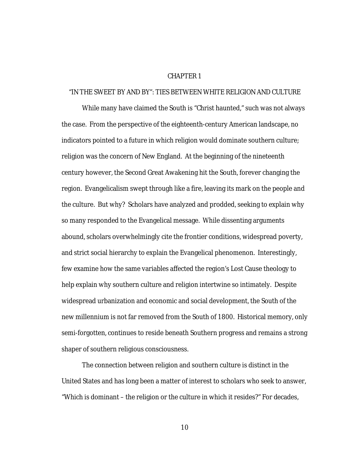## CHAPTER 1

## "IN THE SWEET BY AND BY": TIES BETWEEN WHITE RELIGION AND CULTURE

While many have claimed the South is "Christ haunted," such was not always the case. From the perspective of the eighteenth-century American landscape, no indicators pointed to a future in which religion would dominate southern culture; religion was the concern of New England. At the beginning of the nineteenth century however, the Second Great Awakening hit the South, forever changing the region. Evangelicalism swept through like a fire, leaving its mark on the people and the culture. But why? Scholars have analyzed and prodded, seeking to explain why so many responded to the Evangelical message. While dissenting arguments abound, scholars overwhelmingly cite the frontier conditions, widespread poverty, and strict social hierarchy to explain the Evangelical phenomenon. Interestingly, few examine how the same variables affected the region's Lost Cause theology to help explain why southern culture and religion intertwine so intimately. Despite widespread urbanization and economic and social development, the South of the new millennium is not far removed from the South of 1800. Historical memory, only semi-forgotten, continues to reside beneath Southern progress and remains a strong shaper of southern religious consciousness.

The connection between religion and southern culture is distinct in the United States and has long been a matter of interest to scholars who seek to answer, "Which is dominant – the religion or the culture in which it resides?" For decades,

10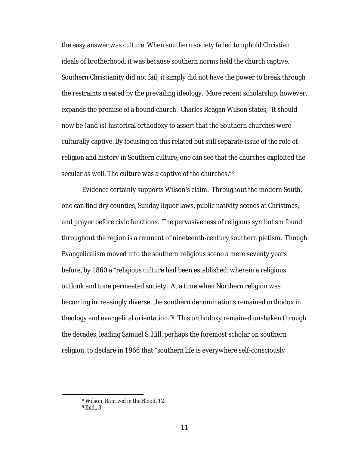the easy answer was culture. When southern society failed to uphold Christian ideals of brotherhood, it was because southern norms held the church captive. Southern Christianity did not fail; it simply did not have the power to break through the restraints created by the prevailing ideology. More recent scholarship, however, expands the premise of a bound church. Charles Reagan Wilson states, "It should now be (and is) historical orthodoxy to assert that the Southern churches were culturally captive. By focusing on this related but still separate issue of the role of religion and history in Southern culture, one can see that the churches exploited the secular as well. The culture was a captive of the churches."8

Evidence certainly supports Wilson's claim. Throughout the modern South, one can find dry counties, Sunday liquor laws, public nativity scenes at Christmas, and prayer before civic functions. The pervasiveness of religious symbolism found throughout the region is a remnant of nineteenth-century southern pietism. Though Evangelicalism moved into the southern religious scene a mere seventy years before, by 1860 a "religious culture had been established, wherein a religious outlook and tone permeated society. At a time when Northern religion was becoming increasingly diverse, the southern denominations remained orthodox in theology and evangelical orientation."9 This orthodoxy remained unshaken through the decades, leading Samuel S. Hill, perhaps the foremost scholar on southern religion, to declare in 1966 that "southern life is everywhere self-consciously

 <sup>8</sup> Wilson, *Baptized in the Blood*, 12.

<sup>9</sup> *Ibid*., 3.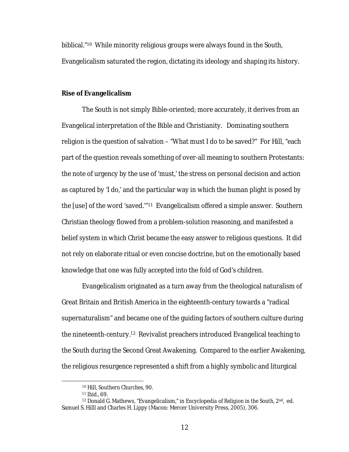biblical."10 While minority religious groups were always found in the South, Evangelicalism saturated the region, dictating its ideology and shaping its history.

## **Rise of Evangelicalism**

The South is not simply Bible-oriented; more accurately, it derives from an Evangelical interpretation of the Bible and Christianity. Dominating southern religion is the question of salvation – "What must I do to be saved?" For Hill, "each part of the question reveals something of over-all meaning to southern Protestants: the note of urgency by the use of 'must,' the stress on personal decision and action as captured by 'I do,' and the particular way in which the human plight is posed by the [use] of the word 'saved.'"11 Evangelicalism offered a simple answer. Southern Christian theology flowed from a problem-solution reasoning, and manifested a belief system in which *Christ* became the easy answer to religious questions. It did not rely on elaborate ritual or even concise doctrine, but on the emotionally based knowledge that one was fully accepted into the fold of God's children.

Evangelicalism originated as a turn away from the theological naturalism of Great Britain and British America in the eighteenth-century towards a "radical supernaturalism" and became one of the guiding factors of southern culture during the nineteenth-century.12 Revivalist preachers introduced Evangelical teaching to the South during the Second Great Awakening. Compared to the earlier Awakening, the religious resurgence represented a shift from a highly symbolic and liturgical

 <sup>10</sup> Hill, *Southern Churches*, 90.

<sup>11</sup> *Ibid*., 69.

<sup>12</sup> Donald G. Mathews, "Evangelicalism," in *Encyclopedia of Religion in the South,* 2nd, ed. Samuel S. Hilll and Charles H. Lippy (Macon: Mercer University Press, 2005), 306.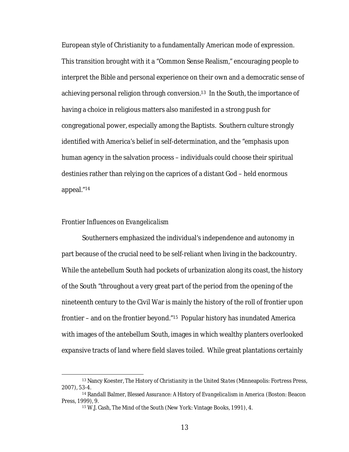European style of Christianity to a fundamentally American mode of expression. This transition brought with it a "Common Sense Realism," encouraging people to interpret the Bible and personal experience on their own and a democratic sense of achieving personal religion through conversion.13 In the South, the importance of having a choice in religious matters also manifested in a strong push for congregational power, especially among the Baptists. Southern culture strongly identified with America's belief in self-determination, and the "emphasis upon human agency in the salvation process – individuals could *choose* their spiritual destinies rather than relying on the caprices of a distant God – held enormous appeal."14

#### *Frontier Influences on Evangelicalism*

Southerners emphasized the individual's independence and autonomy in part because of the crucial need to be self-reliant when living in the backcountry. While the antebellum South had pockets of urbanization along its coast, the history of the South "throughout a very great part of the period from the opening of the nineteenth century to the Civil War is mainly the history of the roll of frontier upon frontier – and on the frontier beyond."15 Popular history has inundated America with images of the antebellum South, images in which wealthy planters overlooked expansive tracts of land where field slaves toiled. While great plantations certainly

 <sup>13</sup> Nancy Koester, *The History of Christianity in the United States* (Minneapolis: Fortress Press, 2007), 53-4.

<sup>14</sup> Randall Balmer, *Blessed Assurance: A History of Evangelicalism in America* (Boston: Beacon Press, 1999), 9.

<sup>15</sup> W.J. Cash, *The Mind of the South* (New York: Vintage Books, 1991), 4.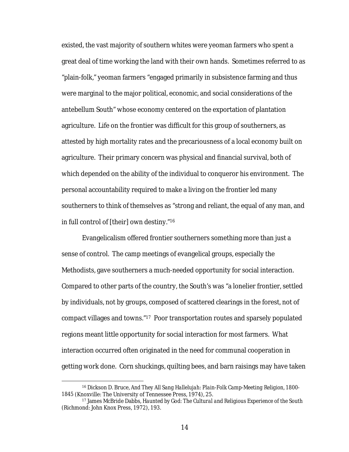existed, the vast majority of southern whites were yeoman farmers who spent a great deal of time working the land with their own hands. Sometimes referred to as "plain-folk," yeoman farmers "engaged primarily in subsistence farming and thus were marginal to the major political, economic, and social considerations of the antebellum South" whose economy centered on the exportation of plantation agriculture. Life on the frontier was difficult for this group of southerners, as attested by high mortality rates and the precariousness of a local economy built on agriculture. Their primary concern was physical and financial survival, both of which depended on the ability of the individual to conqueror his environment. The personal accountability required to make a living on the frontier led many southerners to think of themselves as "strong and reliant, the equal of any man, and in full control of [their] own destiny."16

Evangelicalism offered frontier southerners something more than just a sense of control. The camp meetings of evangelical groups, especially the Methodists, gave southerners a much-needed opportunity for social interaction. Compared to other parts of the country, the South's was "a lonelier frontier, settled by individuals, not by groups, composed of scattered clearings in the forest, not of compact villages and towns."17 Poor transportation routes and sparsely populated regions meant little opportunity for social interaction for most farmers. What interaction occurred often originated in the need for communal cooperation in getting work done. Corn shuckings, quilting bees, and barn raisings may have taken

 <sup>16</sup> Dickson D. Bruce, *And They All Sang Hallelujah: Plain-Folk Camp-Meeting Religion, 1800- 1845* (Knoxville: The University of Tennessee Press, 1974), 25.

<sup>17</sup> James McBride Dabbs, *Haunted by God: The Cultural and Religious Experience of the South*  (Richmond: John Knox Press, 1972), 193.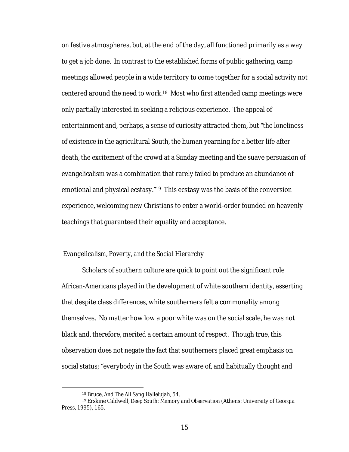on festive atmospheres, but, at the end of the day, all functioned primarily as a way to get a job done. In contrast to the established forms of public gathering, camp meetings allowed people in a wide territory to come together for a social activity not centered around the need to work.18 Most who first attended camp meetings were only partially interested in seeking a religious experience. The appeal of entertainment and, perhaps, a sense of curiosity attracted them, but "the loneliness of existence in the agricultural South, the human yearning for a better life after death, the excitement of the crowd at a Sunday meeting and the suave persuasion of evangelicalism was a combination that rarely failed to produce an abundance of emotional and physical ecstasy."19 This ecstasy was the basis of the conversion experience, welcoming new Christians to enter a world-order founded on heavenly teachings that guaranteed their equality and acceptance.

## *Evangelicalism, Poverty, and the Social Hierarchy*

Scholars of southern culture are quick to point out the significant role African-Americans played in the development of white southern identity, asserting that despite class differences, white southerners felt a commonality among themselves. No matter how low a poor white was on the social scale, he was not black and, therefore, merited a certain amount of respect. Though true, this observation does not negate the fact that southerners placed great emphasis on social status; "everybody in the South was aware of, and habitually thought and

 <sup>18</sup> Bruce, *And The All Sang Hallelujah*, 54.

<sup>19</sup> Erskine Caldwell, *Deep South: Memory and Observation* (Athens: University of Georgia Press, 1995), 165.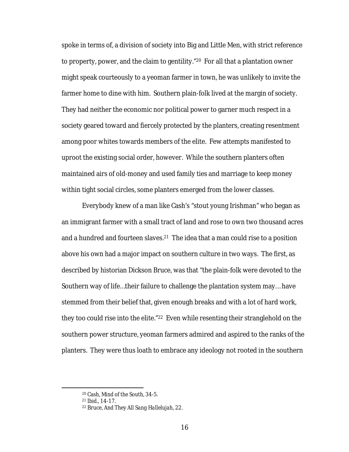spoke in terms of, a division of society into Big and Little Men, with strict reference to property, power, and the claim to gentility."20 For all that a plantation owner might speak courteously to a yeoman farmer in town, he was unlikely to invite the farmer home to dine with him. Southern plain-folk lived at the margin of society. They had neither the economic nor political power to garner much respect in a society geared toward and fiercely protected by the planters, creating resentment among poor whites towards members of the elite. Few attempts manifested to uproot the existing social order, however. While the southern planters often maintained airs of old-money and used family ties and marriage to keep money within tight social circles, some planters emerged from the lower classes.

Everybody knew of a man like Cash's "stout young Irishman" who began as an immigrant farmer with a small tract of land and rose to own two thousand acres and a hundred and fourteen slaves.<sup>21</sup> The idea that a man could rise to a position above his own had a major impact on southern culture in two ways. The first, as described by historian Dickson Bruce, was that "the plain-folk were devoted to the Southern way of life…their failure to challenge the plantation system may… have stemmed from their belief that, given enough breaks and with a lot of hard work, they too could rise into the elite."22 Even while resenting their stranglehold on the southern power structure, yeoman farmers admired and aspired to the ranks of the planters. They were thus loath to embrace any ideology not rooted in the southern

 <sup>20</sup> Cash, *Mind of the South*, 34-5.

<sup>21</sup> *Ibid.*, 14-17.

<sup>22</sup> Bruce, *And They All Sang Hallelujah,* 22.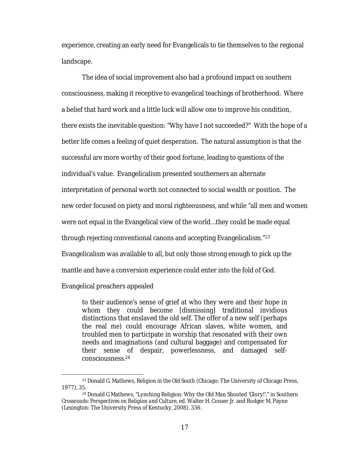experience, creating an early need for Evangelicals to tie themselves to the regional landscape.

The idea of social improvement also had a profound impact on southern consciousness, making it receptive to evangelical teachings of brotherhood. Where a belief that hard work and a little luck will allow one to improve his condition, there exists the inevitable question: "Why have I not succeeded?" With the hope of a better life comes a feeling of quiet desperation. The natural assumption is that the successful are more worthy of their good fortune, leading to questions of the individual's value. Evangelicalism presented southerners an alternate interpretation of personal worth not connected to social wealth or position. The new order focused on piety and moral righteousness, and while "all men and women were not equal in the Evangelical view of the world…they could be made equal through rejecting conventional canons and accepting Evangelicalism."23 Evangelicalism was available to all, but only those strong enough to pick up the mantle and have a conversion experience could enter into the fold of God.

Evangelical preachers appealed

to their audience's sense of grief at who they were and their hope in whom they could become [dismissing] traditional invidious distinctions that enslaved the old self. The offer of a new self (perhaps the real *me*) could encourage African slaves, white women, and troubled men to participate in worship that resonated with their own needs and imaginations (and cultural baggage) and compensated for their sense of despair, powerlessness, and damaged selfconsciousness.24

 <sup>23</sup> Donald G. Mathews, *Religion in the Old South* (Chicago: The University of Chicago Press, 1977), 35.

<sup>24</sup> Donald G Mathews, "Lynching Religion: Why the Old Man Shouted 'Glory!'," in *Southern Crossroads: Perspectives on Religion and Culture,* ed. Walter H. Conser Jr. and Rodger M. Payne (Lexington: The University Press of Kentucky, 2008), 336.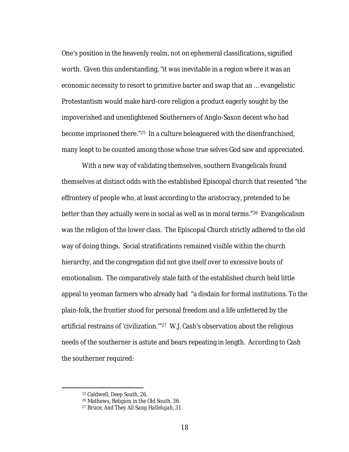One's position in the heavenly realm, not on ephemeral classifications, signified worth. Given this understanding, "it was inevitable in a region where it was an economic necessity to resort to primitive barter and swap that an … evangelistic Protestantism would make hard-core religion a product eagerly sought by the impoverished and unenlightened Southerners of Anglo-Saxon decent who had become imprisoned there."25 In a culture beleaguered with the disenfranchised, many leapt to be counted among those whose true selves God saw and appreciated.

With a new way of validating themselves, southern Evangelicals found themselves at distinct odds with the established Episcopal church that resented "the effrontery of people who, at least according to the aristocracy, pretended to be better than they actually were in social as well as in moral terms."26 Evangelicalism was the religion of the lower class. The Episcopal Church strictly adhered to the old way of doing things. Social stratifications remained visible within the church hierarchy, and the congregation did not give itself over to excessive bouts of emotionalism. The comparatively stale faith of the established church held little appeal to yeoman farmers who already had "a disdain for formal institutions. To the plain-folk, the frontier stood for personal freedom and a life unfettered by the artificial restrains of 'civilization.'"27 W.J. Cash's observation about the religious needs of the southerner is astute and bears repeating in length. According to Cash the southerner required:

 <sup>25</sup> Caldwell, *Deep South*, 26.

<sup>26</sup> Mathews, *Religion in the Old South*, 36.

<sup>27</sup> Bruce, *And They All Sang Hallelujah*, 31.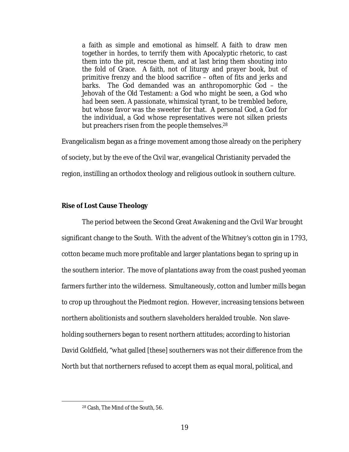a faith as simple and emotional as himself. A faith to draw men together in hordes, to terrify them with Apocalyptic rhetoric, to cast them into the pit, rescue them, and at last bring them shouting into the fold of Grace. A faith, not of liturgy and prayer book, but of primitive frenzy and the blood sacrifice – often of fits and jerks and barks. The God demanded was an anthropomorphic God – the Jehovah of the Old Testament: a God who might be seen, a God who *had* been seen. A passionate, whimsical tyrant, to be trembled before, but whose favor was the sweeter for that. A personal God, a God for the individual, a God whose representatives were not silken priests but preachers risen from the people themselves.<sup>28</sup>

Evangelicalism began as a fringe movement among those already on the periphery of society, but by the eve of the Civil war, evangelical Christianity pervaded the region, instilling an orthodox theology and religious outlook in southern culture.

# **Rise of Lost Cause Theology**

The period between the Second Great Awakening and the Civil War brought significant change to the South. With the advent of the Whitney's cotton gin in 1793, cotton became much more profitable and larger plantations began to spring up in the southern interior. The move of plantations away from the coast pushed yeoman farmers further into the wilderness. Simultaneously, cotton and lumber mills began to crop up throughout the Piedmont region. However, increasing tensions between northern abolitionists and southern slaveholders heralded trouble. Non slaveholding southerners began to resent northern attitudes; according to historian David Goldfield, "what galled [these] southerners was not their difference from the North but that northerners refused to accept them as equal moral, political, and

 <sup>28</sup> Cash, *The Mind of the South*, 56.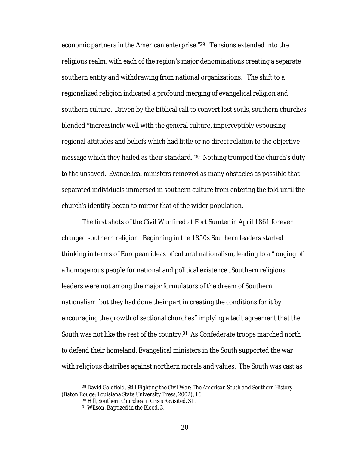economic partners in the American enterprise."29 Tensions extended into the religious realm, with each of the region's major denominations creating a separate southern entity and withdrawing from national organizations. The shift to a regionalized religion indicated a profound merging of evangelical religion and southern culture. Driven by the biblical call to convert lost souls, southern churches blended **"**increasingly well with the general culture, imperceptibly espousing regional attitudes and beliefs which had little or no direct relation to the objective message which they hailed as their standard."30 Nothing trumped the church's duty to the unsaved. Evangelical ministers removed as many obstacles as possible that separated individuals immersed in southern culture from entering the fold until the church's identity began to mirror that of the wider population.

The first shots of the Civil War fired at Fort Sumter in April 1861 forever changed southern religion. Beginning in the 1850s Southern leaders started thinking in terms of European ideas of cultural nationalism, leading to a "longing of a homogenous people for national and political existence...Southern religious leaders were not among the major formulators of the dream of Southern nationalism, but they had done their part in creating the conditions for it by encouraging the growth of sectional churches" implying a tacit agreement that the South was not like the rest of the country.31 As Confederate troops marched north to defend their homeland, Evangelical ministers in the South supported the war with religious diatribes against northern morals and values. The South was cast as

 <sup>29</sup> David Goldfield, *Still Fighting the Civil War: The American South and Southern History* (Baton Rouge: Louisiana State University Press, 2002), 16.

<sup>30</sup> Hill, *Southern Churches in Crisis Revisited*, 31.

<sup>31</sup> Wilson, *Baptized in the Blood*, 3.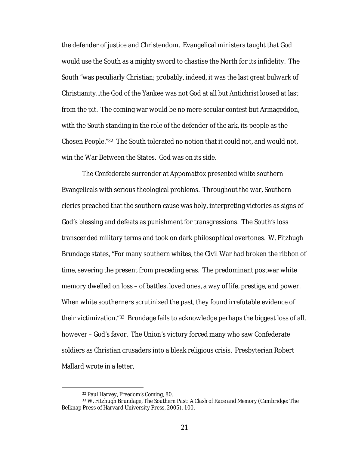the defender of justice and Christendom. Evangelical ministers taught that God would use the South as a mighty sword to chastise the North for its infidelity. The South "was peculiarly Christian; probably, indeed, it was the last great bulwark of Christianity...the God of the Yankee was not God at all but Antichrist loosed at last from the pit. The coming war would be no mere secular contest but Armageddon, with the South standing in the role of the defender of the ark, its people as the Chosen People."32 The South tolerated no notion that it could not, and would not, win the War Between the States. God was on its side.

The Confederate surrender at Appomattox presented white southern Evangelicals with serious theological problems. Throughout the war, Southern clerics preached that the southern cause was holy, interpreting victories as signs of God's blessing and defeats as punishment for transgressions. The South's loss transcended military terms and took on dark philosophical overtones. W. Fitzhugh Brundage states, "For many southern whites, the Civil War had broken the ribbon of time, severing the present from preceding eras. The predominant postwar white memory dwelled on loss – of battles, loved ones, a way of life, prestige, and power. When white southerners scrutinized the past, they found irrefutable evidence of their victimization."33 Brundage fails to acknowledge perhaps the biggest loss of all, however – God's favor. The Union's victory forced many who saw Confederate soldiers as Christian crusaders into a bleak religious crisis. Presbyterian Robert Mallard wrote in a letter,

 <sup>32</sup> Paul Harvey, *Freedom's Coming*, 80.

<sup>33</sup> W. Fitzhugh Brundage, *The Southern Past: A Clash of Race and Memory* (Cambridge: The Belknap Press of Harvard University Press, 2005), 100.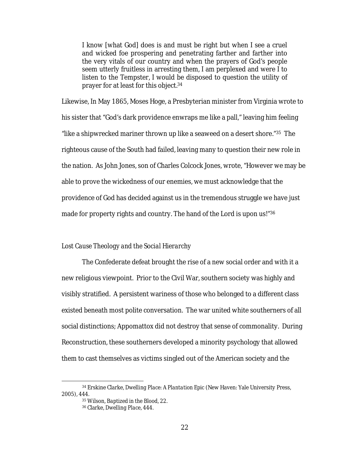I know [what God] does is and must be right but when I see a cruel and wicked foe prospering and penetrating farther and farther into the very vitals of our country and when the prayers of God's people seem utterly fruitless in arresting them, I am perplexed and were I to listen to the Tempster, I would be disposed to question the utility of prayer for at least for this object.34

Likewise, In May 1865, Moses Hoge, a Presbyterian minister from Virginia wrote to his sister that "God's dark providence enwraps me like a pall," leaving him feeling "like a shipwrecked mariner thrown up like a seaweed on a desert shore."35 The righteous cause of the South had failed, leaving many to question their new role in the nation. As John Jones, son of Charles Colcock Jones, wrote, "However we may be able to prove the wickedness of our enemies, we must acknowledge that the providence of God has decided against us in the tremendous struggle we have just made for property rights and country. The hand of the Lord is upon us!"36

## *Lost Cause Theology and the Social Hierarchy*

The Confederate defeat brought the rise of a new social order and with it a new religious viewpoint. Prior to the Civil War, southern society was highly and visibly stratified. A persistent wariness of those who belonged to a different class existed beneath most polite conversation. The war united white southerners of all social distinctions; Appomattox did not destroy that sense of commonality. During Reconstruction, these southerners developed a minority psychology that allowed them to cast themselves as victims singled out of the American society and the

 <sup>34</sup> Erskine Clarke, *Dwelling Place: A Plantation Epic* (New Haven: Yale University Press, 2005), 444.

<sup>35</sup> Wilson, *Baptized in the Blood*, 22.

<sup>36</sup> Clarke, *Dwelling Place*, 444.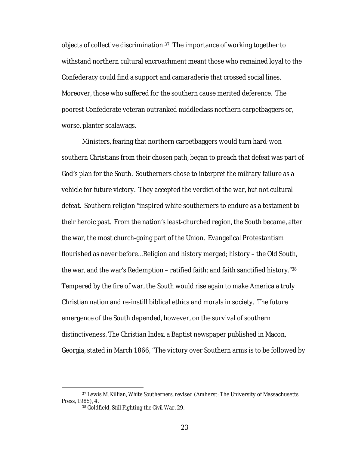objects of collective discrimination.37 The importance of working together to withstand northern cultural encroachment meant those who remained loyal to the Confederacy could find a support and camaraderie that crossed social lines. Moreover, those who suffered for the southern cause merited deference. The poorest Confederate veteran outranked middleclass northern carpetbaggers or, worse, planter scalawags.

Ministers, fearing that northern carpetbaggers would turn hard-won southern Christians from their chosen path, began to preach that defeat was part of God's plan for the South. Southerners chose to interpret the military failure as a vehicle for future victory. They accepted the verdict of the war, but not cultural defeat. Southern religion "inspired white southerners to endure as a testament to their heroic past. From the nation's least-churched region, the South became, after the war, the most church-going part of the Union. Evangelical Protestantism flourished as never before…Religion and history merged; history – the Old South, the war, and the war's Redemption – ratified faith; and faith sanctified history."38 Tempered by the fire of war, the South would rise again to make America a truly Christian nation and re-instill biblical ethics and morals in society. The future emergence of the South depended, however, on the survival of southern distinctiveness. *The Christian Index*, a Baptist newspaper published in Macon, Georgia, stated in March 1866, "The victory over Southern arms is to be followed by

 <sup>37</sup> Lewis M. Killian, *White Southerners*, revised (Amherst: The University of Massachusetts Press, 1985), 4.

<sup>38</sup> Goldfield, *Still Fighting the Civil War*, 29.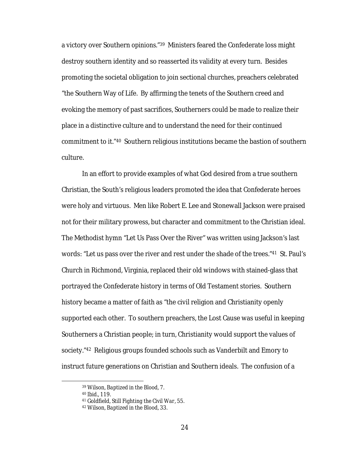a victory over Southern *opinions*."39 Ministers feared the Confederate loss might destroy southern identity and so reasserted its validity at every turn. Besides promoting the societal obligation to join sectional churches, preachers celebrated "the Southern Way of Life. By affirming the tenets of the Southern creed and evoking the memory of past sacrifices, Southerners could be made to realize their place in a distinctive culture and to understand the need for their continued commitment to it."40 Southern religious institutions became the bastion of southern culture.

In an effort to provide examples of what God desired from a true southern Christian, the South's religious leaders promoted the idea that Confederate heroes were holy and virtuous. Men like Robert E. Lee and Stonewall Jackson were praised not for their military prowess, but character and commitment to the Christian ideal. The Methodist hymn "Let Us Pass Over the River" was written using Jackson's last words: "Let us pass over the river and rest under the shade of the trees."41 St. Paul's Church in Richmond, Virginia, replaced their old windows with stained-glass that portrayed the Confederate history in terms of Old Testament stories. Southern history became a matter of faith as "the civil religion and Christianity openly supported each other. To southern preachers, the Lost Cause was useful in keeping Southerners a Christian people; in turn, Christianity would support the values of society."42 Religious groups founded schools such as Vanderbilt and Emory to instruct future generations on Christian and Southern ideals. The confusion of a

 <sup>39</sup> Wilson, *Baptized in the Blood*, 7.

<sup>40</sup> *Ibid*., 119.

<sup>41</sup> Goldfield, *Still Fighting the Civil War*, 55.

<sup>42</sup> Wilson, *Baptized in the Blood*, 33.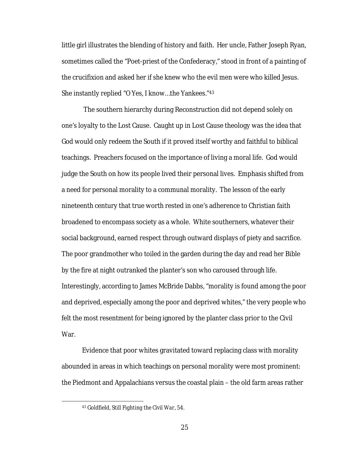little girl illustrates the blending of history and faith. Her uncle, Father Joseph Ryan, sometimes called the "Poet-priest of the Confederacy," stood in front of a painting of the crucifixion and asked her if she knew who the evil men were who killed Jesus. She instantly replied "O Yes, I know…the Yankees."43

The southern hierarchy during Reconstruction did not depend solely on one's loyalty to the Lost Cause. Caught up in Lost Cause theology was the idea that God would only redeem the South if it proved itself worthy and faithful to biblical teachings. Preachers focused on the importance of living a moral life. God would judge the South on how its people lived their personal lives. Emphasis shifted from a need for personal morality to a communal morality. The lesson of the early nineteenth century that true worth rested in one's adherence to Christian faith broadened to encompass society as a whole. White southerners, whatever their social background, earned respect through outward displays of piety and sacrifice. The poor grandmother who toiled in the garden during the day and read her Bible by the fire at night outranked the planter's son who caroused through life. Interestingly, according to James McBride Dabbs, "morality is found among the poor and deprived, especially among the poor and deprived whites," the very people who felt the most resentment for being ignored by the planter class prior to the Civil War.

Evidence that poor whites gravitated toward replacing class with morality abounded in areas in which teachings on personal morality were most prominent: the Piedmont and Appalachians versus the coastal plain – the old farm areas rather

 <sup>43</sup> Goldfield, *Still Fighting the Civil War*, 54.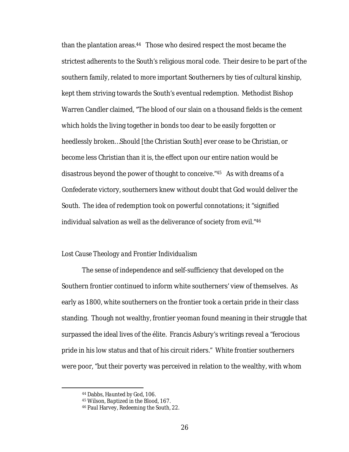than the plantation areas.44 Those who desired respect the most became the strictest adherents to the South's religious moral code. Their desire to be part of the southern family, related to more important Southerners by ties of cultural kinship, kept them striving towards the South's eventual redemption. Methodist Bishop Warren Candler claimed, "The blood of our slain on a thousand fields is the cement which holds the living together in bonds too dear to be easily forgotten or heedlessly broken…Should [the Christian South] ever cease to be Christian, or become less Christian than it is, the effect upon our entire nation would be disastrous beyond the power of thought to conceive."45 As with dreams of a Confederate victory, southerners knew without doubt that God would deliver the South. The idea of redemption took on powerful connotations; it "signified individual salvation as well as the deliverance of society from evil."46

## *Lost Cause Theology and Frontier Individualism*

The sense of independence and self-sufficiency that developed on the Southern frontier continued to inform white southerners' view of themselves. As early as 1800, white southerners on the frontier took a certain pride in their class standing. Though not wealthy, frontier yeoman found meaning in their struggle that surpassed the ideal lives of the élite. Francis Asbury's writings reveal a "ferocious pride in his low status and that of his circuit riders." White frontier southerners were poor, "but their poverty was perceived in relation to the wealthy, with whom

 <sup>44</sup> Dabbs, *Haunted by God*, 106.

<sup>45</sup> Wilson, *Baptized in the Blood*, 167.

<sup>46</sup> Paul Harvey, *Redeeming the South*, 22.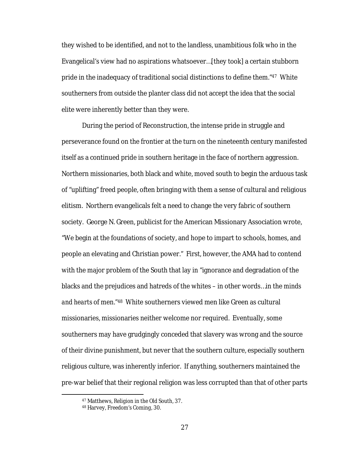they wished to be identified, and not to the landless, unambitious folk who in the Evangelical's view had no aspirations whatsoever…[they took] a certain stubborn pride in the inadequacy of traditional social distinctions to define them."47 White southerners from outside the planter class did not accept the idea that the social elite were inherently better than they were.

During the period of Reconstruction, the intense pride in struggle and perseverance found on the frontier at the turn on the nineteenth century manifested itself as a continued pride in southern heritage in the face of northern aggression. Northern missionaries, both black and white, moved south to begin the arduous task of "uplifting" freed people, often bringing with them a sense of cultural and religious elitism. Northern evangelicals felt a need to change the very fabric of southern society. George N. Green, publicist for the American Missionary Association wrote, "We begin at the foundations of society, and hope to impart to schools, homes, and people an elevating and Christian power." First, however, the AMA had to contend with the major problem of the South that lay in "ignorance and degradation of the blacks and the prejudices and hatreds of the whites – in other words…in the *minds and hearts* of men."48 White southerners viewed men like Green as cultural missionaries, missionaries neither welcome nor required. Eventually, some southerners may have grudgingly conceded that slavery was wrong and the source of their divine punishment, but never that the southern culture, especially southern religious culture, was inherently inferior. If anything, southerners maintained the pre-war belief that their regional religion was less corrupted than that of other parts

 <sup>47</sup> Matthews, *Religion in the Old South*, 37.

<sup>48</sup> Harvey, *Freedom's Coming*, 30.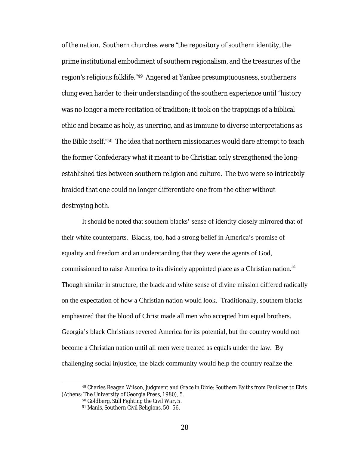of the nation. Southern churches were "the repository of southern identity, the prime institutional embodiment of southern regionalism, and the treasuries of the region's religious folklife."49 Angered at Yankee presumptuousness, southerners clung even harder to their understanding of the southern experience until "history was no longer a mere recitation of tradition; it took on the trappings of a biblical ethic and became as holy, as unerring, and as immune to diverse interpretations as the Bible itself."50 The idea that northern missionaries would dare attempt to teach the former Confederacy what it meant to be Christian only strengthened the longestablished ties between southern religion and culture. The two were so intricately braided that one could no longer differentiate one from the other without destroying both.

It should be noted that southern blacks' sense of identity closely mirrored that of their white counterparts. Blacks, too, had a strong belief in America's promise of equality and freedom and an understanding that they were the agents of God, commissioned to raise America to its divinely appointed place as a Christian nation.<sup>51</sup> Though similar in structure, the black and white sense of divine mission differed radically on the expectation of how a Christian nation would look. Traditionally, southern blacks emphasized that the blood of Christ made all men who accepted him equal brothers. Georgia's black Christians revered America for its potential, but the country would not become a Christian nation until all men were treated as equals under the law. By challenging social injustice, the black community would help the country realize the

 <sup>49</sup> Charles Reagan Wilson, *Judgment and Grace in Dixie: Southern Faiths from Faulkner to Elvis* (Athens: The University of Georgia Press, 1980), 5.

<sup>50</sup> Goldberg, *Still Fighting the Civil War*, 5.

<sup>51</sup> Manis, *Southern Civil Religions*, 50 -56.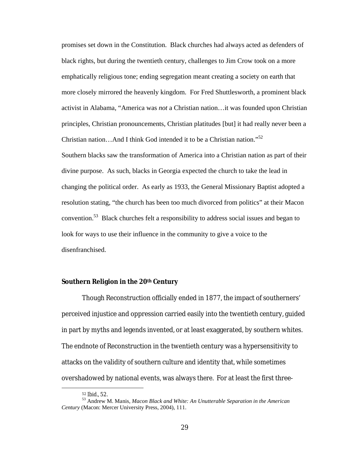promises set down in the Constitution. Black churches had always acted as defenders of black rights, but during the twentieth century, challenges to Jim Crow took on a more emphatically religious tone; ending segregation meant creating a society on earth that more closely mirrored the heavenly kingdom. For Fred Shuttlesworth, a prominent black activist in Alabama, "America was *not* a Christian nation…it was founded upon Christian principles, Christian pronouncements, Christian platitudes [but] it had really never been a Christian nation...And I think God intended it to be a Christian nation."<sup>52</sup> Southern blacks saw the transformation of America into a Christian nation as part of their divine purpose. As such, blacks in Georgia expected the church to take the lead in changing the political order. As early as 1933, the General Missionary Baptist adopted a resolution stating, "the church has been too much divorced from politics" at their Macon convention.<sup>53</sup> Black churches felt a responsibility to address social issues and began to look for ways to use their influence in the community to give a voice to the disenfranchised.

### **Southern Religion in the 20th Century**

Though Reconstruction officially ended in 1877, the impact of southerners' perceived injustice and oppression carried easily into the twentieth century, guided in part by myths and legends invented, or at least exaggerated, by southern whites. The endnote of Reconstruction in the twentieth century was a hypersensitivity to attacks on the validity of southern culture and identity that, while sometimes overshadowed by national events, was always *there.* For at least the first three-

<sup>52</sup> *Ibid*., 52. <sup>53</sup> Andrew M. Manis, *Macon Black and White: An Unutterable Separation in the American Century* (Macon: Mercer University Press, 2004), 111.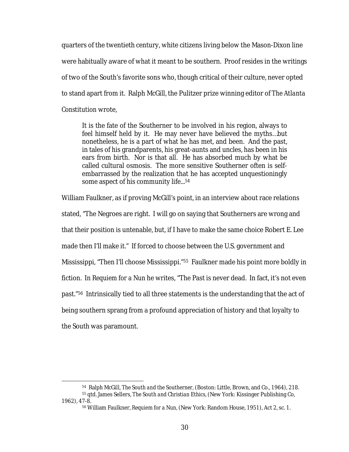quarters of the twentieth century, white citizens living below the Mason-Dixon line were habitually aware of what it meant to be southern. Proof resides in the writings of two of the South's favorite sons who, though critical of their culture, never opted to stand apart from it. Ralph McGill, the Pulitzer prize winning editor of *The Atlanta Constitution* wrote,

It is the fate of the Southerner to be involved in his region, always to feel himself held by it. He may never have believed the myths…but nonetheless, he is a part of what he has met, and been. And the past, in tales of his grandparents, his great-aunts and uncles, has been in his ears from birth. Nor is that all. He has absorbed much by what be called cultural osmosis. The more sensitive Southerner often is selfembarrassed by the realization that he has accepted unquestioningly some aspect of his community life...<sup>54</sup>

William Faulkner, as if proving McGill's point, in an interview about race relations stated, "The Negroes are right. I will go on saying that Southerners are wrong and that their position is untenable, but, if I have to make the same choice Robert E. Lee made then I'll make it." If forced to choose between the U.S. government and Mississippi, "Then I'll choose Mississippi."55 Faulkner made his point more boldly in fiction. In *Requiem for a Nun* he writes, "The Past is never dead. In fact, it's not even past."56 Intrinsically tied to all three statements is the understanding that the act of being southern sprang from a profound appreciation of history and that loyalty to the South was paramount.

 <sup>54</sup> Ralph McGill, *The South and the Southerner,* (Boston: Little, Brown, and Co., 1964), 218.

<sup>55</sup> qtd. James Sellers, *The South and Christian Ethics*, (New York: Kissinger Publishing Co, 1962), 47-8.

<sup>56</sup> William Faulkner, *Requiem for a Nun,* (New York: Random House, 1951), Act 2, sc. 1.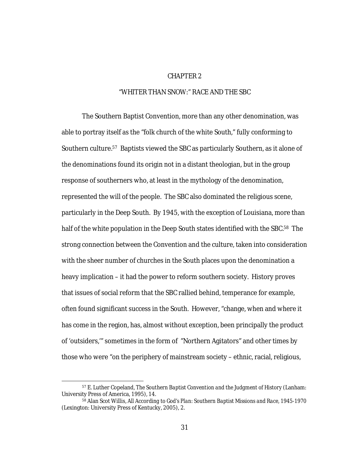#### CHAPTER 2

# "WHITER THAN SNOW:" RACE AND THE SBC

The Southern Baptist Convention, more than any other denomination, was able to portray itself as the "folk church of the white South," fully conforming to Southern culture.57 Baptists viewed the SBC as particularly Southern, as it alone of the denominations found its origin not in a distant theologian, but in the group response of southerners who, at least in the mythology of the denomination, represented the will of the people. The SBC also dominated the religious scene, particularly in the Deep South. By 1945, with the exception of Louisiana, more than half of the white population in the Deep South states identified with the SBC.<sup>58</sup> The strong connection between the Convention and the culture, taken into consideration with the sheer number of churches in the South places upon the denomination a heavy implication – it had the power to reform southern society. History proves that issues of social reform that the SBC rallied behind, temperance for example, often found significant success in the South. However, "change, when and where it has come in the region, has, almost without exception, been principally the product of 'outsiders,'" sometimes in the form of "Northern Agitators" and other times by those who were "on the periphery of mainstream society – ethnic, racial, religious,

 <sup>57</sup> E. Luther Copeland, *The Southern Baptist Convention and the Judgment of History* (Lanham: University Press of America, 1995), 14.

<sup>58</sup> Alan Scot Willis, *All According to God's Plan: Southern Baptist Missions and Race, 1945-1970* (Lexington: University Press of Kentucky, 2005), 2.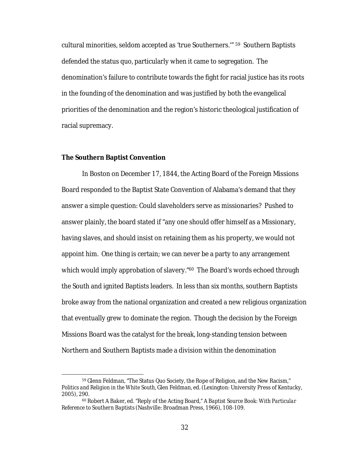cultural minorities, seldom accepted as 'true Southerners.'" 59 Southern Baptists defended the status quo, particularly when it came to segregation. The denomination's failure to contribute towards the fight for racial justice has its roots in the founding of the denomination and was justified by both the evangelical priorities of the denomination and the region's historic theological justification of racial supremacy.

#### **The Southern Baptist Convention**

In Boston on December 17, 1844, the Acting Board of the Foreign Missions Board responded to the Baptist State Convention of Alabama's demand that they answer a simple question: Could slaveholders serve as missionaries? Pushed to answer plainly, the board stated if "any one should offer himself as a Missionary, having slaves, and should insist on retaining them as his property, we would not appoint him. One thing is certain; we can never be a party to any arrangement which would imply approbation of slavery."<sup>60</sup> The Board's words echoed through the South and ignited Baptists leaders. In less than six months, southern Baptists broke away from the national organization and created a new religious organization that eventually grew to dominate the region. Though the decision by the Foreign Missions Board was the catalyst for the break, long-standing tension between Northern and Southern Baptists made a division within the denomination

 <sup>59</sup> Glenn Feldman, "The Status Quo Society, the Rope of Religion, and the New Racism," *Politics and Religion in the White South,* Glen Feldman, ed. (Lexington: University Press of Kentucky, 2005), 290.

<sup>60</sup> Robert A Baker, ed. "Reply of the Acting Board," *A Baptist Source Book: With Particular Reference to Southern Baptists* (Nashville: Broadman Press, 1966), 108-109.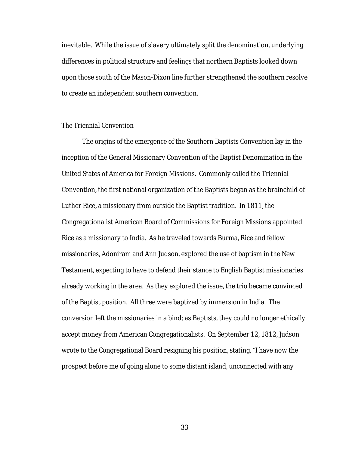inevitable. While the issue of slavery ultimately split the denomination, underlying differences in political structure and feelings that northern Baptists looked down upon those south of the Mason-Dixon line further strengthened the southern resolve to create an independent southern convention.

# *The Triennial Convention*

The origins of the emergence of the Southern Baptists Convention lay in the inception of the General Missionary Convention of the Baptist Denomination in the United States of America for Foreign Missions. Commonly called the Triennial Convention, the first national organization of the Baptists began as the brainchild of Luther Rice, a missionary from outside the Baptist tradition. In 1811, the Congregationalist American Board of Commissions for Foreign Missions appointed Rice as a missionary to India. As he traveled towards Burma, Rice and fellow missionaries, Adoniram and Ann Judson, explored the use of baptism in the New Testament, expecting to have to defend their stance to English Baptist missionaries already working in the area. As they explored the issue, the trio became convinced of the Baptist position. All three were baptized by immersion in India. The conversion left the missionaries in a bind; as Baptists, they could no longer ethically accept money from American Congregationalists. On September 12, 1812, Judson wrote to the Congregational Board resigning his position, stating, "I have now the prospect before me of going alone to some distant island, unconnected with any

33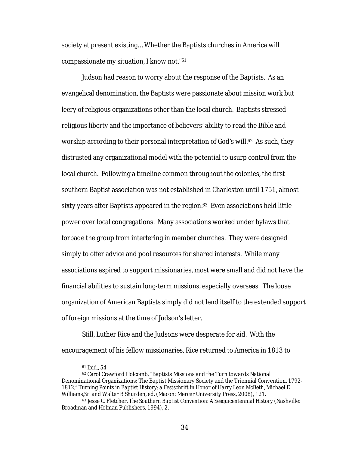society at present existing… Whether the Baptists churches in America will compassionate my situation, I know not."61

Judson had reason to worry about the response of the Baptists. As an evangelical denomination, the Baptists were passionate about mission work but leery of religious organizations other than the local church. Baptists stressed religious liberty and the importance of believers' ability to read the Bible and worship according to their personal interpretation of God's will.<sup>62</sup> As such, they distrusted any organizational model with the potential to usurp control from the local church. Following a timeline common throughout the colonies, the first southern Baptist association was not established in Charleston until 1751, almost sixty years after Baptists appeared in the region.<sup>63</sup> Even associations held little power over local congregations. Many associations worked under bylaws that forbade the group from interfering in member churches. They were designed simply to offer advice and pool resources for shared interests. While many associations aspired to support missionaries, most were small and did not have the financial abilities to sustain long-term missions, especially overseas. The loose organization of American Baptists simply did not lend itself to the extended support of foreign missions at the time of Judson's letter.

Still, Luther Rice and the Judsons were desperate for aid. With the encouragement of his fellow missionaries, Rice returned to America in 1813 to

 <sup>61</sup> *Ibid.*, 54

<sup>62</sup> Carol Crawford Holcomb, "Baptists Missions and the Turn towards National Denominational Organizations: The Baptist Missionary Society and the Triennial Convention, 1792- 1812," *Turning Points in Baptist History: a Festschrift in Honor of Harry Leon McBeth*, Michael E Williams,Sr. and Walter B Shurden, ed. (Macon: Mercer University Press, 2008), 121.

<sup>63</sup> Jesse C. Fletcher, *The Southern Baptist Convention: A Sesquicentennial History* (Nashville: Broadman and Holman Publishers, 1994), 2.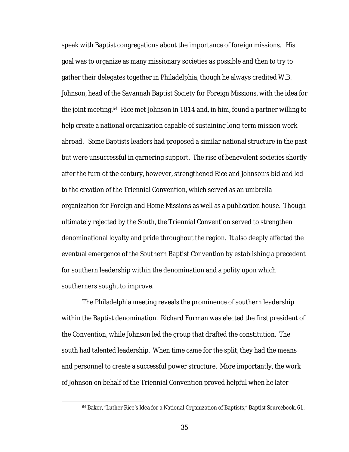speak with Baptist congregations about the importance of foreign missions. His goal was to organize as many missionary societies as possible and then to try to gather their delegates together in Philadelphia, though he always credited W.B. Johnson, head of the Savannah Baptist Society for Foreign Missions, with the idea for the joint meeting.64 Rice met Johnson in 1814 and, in him, found a partner willing to help create a national organization capable of sustaining long-term mission work abroad. Some Baptists leaders had proposed a similar national structure in the past but were unsuccessful in garnering support. The rise of benevolent societies shortly after the turn of the century, however, strengthened Rice and Johnson's bid and led to the creation of the Triennial Convention, which served as an umbrella organization for Foreign and Home Missions as well as a publication house. Though ultimately rejected by the South, the Triennial Convention served to strengthen denominational loyalty and pride throughout the region. It also deeply affected the eventual emergence of the Southern Baptist Convention by establishing a precedent for southern leadership within the denomination and a polity upon which southerners sought to improve.

The Philadelphia meeting reveals the prominence of southern leadership within the Baptist denomination. Richard Furman was elected the first president of the Convention, while Johnson led the group that drafted the constitution. The south had talented leadership. When time came for the split, they had the means and personnel to create a successful power structure. More importantly, the work of Johnson on behalf of the Triennial Convention proved helpful when he later

 <sup>64</sup> Baker, "Luther Rice's Idea for a National Organization of Baptists," *Baptist Sourcebook*, 61.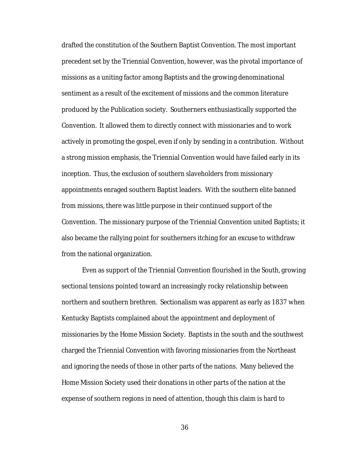drafted the constitution of the Southern Baptist Convention*.* The most important precedent set by the Triennial Convention, however, was the pivotal importance of missions as a uniting factor among Baptists and the growing denominational sentiment as a result of the excitement of missions and the common literature produced by the Publication society. Southerners enthusiastically supported the Convention. It allowed them to directly connect with missionaries and to work actively in promoting the gospel, even if only by sending in a contribution. Without a strong mission emphasis, the Triennial Convention would have failed early in its inception. Thus, the exclusion of southern slaveholders from missionary appointments enraged southern Baptist leaders. With the southern elite banned from missions, there was little purpose in their continued support of the Convention. The missionary purpose of the Triennial Convention united Baptists; it also became the rallying point for southerners itching for an excuse to withdraw from the national organization.

Even as support of the Triennial Convention flourished in the South, growing sectional tensions pointed toward an increasingly rocky relationship between northern and southern brethren. Sectionalism was apparent as early as 1837 when Kentucky Baptists complained about the appointment and deployment of missionaries by the Home Mission Society. Baptists in the south and the southwest charged the Triennial Convention with favoring missionaries from the Northeast and ignoring the needs of those in other parts of the nations. Many believed the Home Mission Society used their donations in other parts of the nation at the expense of southern regions in need of attention, though this claim is hard to

36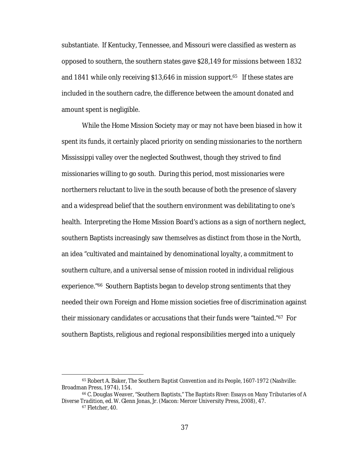substantiate. If Kentucky, Tennessee, and Missouri were classified as western as opposed to southern, the southern states gave \$28,149 for missions between 1832 and 1841 while only receiving \$13,646 in mission support.65 If these states are included in the southern cadre, the difference between the amount donated and amount spent is negligible.

While the Home Mission Society may or may not have been biased in how it spent its funds, it certainly placed priority on sending missionaries to the northern Mississippi valley over the neglected Southwest, though they strived to find missionaries willing to go south. During this period, most missionaries were northerners reluctant to live in the south because of both the presence of slavery and a widespread belief that the southern environment was debilitating to one's health. Interpreting the Home Mission Board's actions as a sign of northern neglect, southern Baptists increasingly saw themselves as distinct from those in the North, an idea "cultivated and maintained by denominational loyalty, a commitment to southern culture, and a universal sense of mission rooted in individual religious experience."66 Southern Baptists began to develop strong sentiments that they needed their own Foreign and Home mission societies free of discrimination against their missionary candidates or accusations that their funds were "tainted."67For southern Baptists, religious and regional responsibilities merged into a uniquely

 <sup>65</sup> Robert A. Baker, *The Southern Baptist Convention and its People, 1607-1972* (Nashville: Broadman Press, 1974), 154.

<sup>66</sup> C. Douglas Weaver, "Southern Baptists," *The Baptists River: Essays on Many Tributaries of A Diverse Tradition,* ed. W. Glenn Jonas, Jr. (Macon: Mercer University Press, 2008), 47.

<sup>67</sup> Fletcher, 40.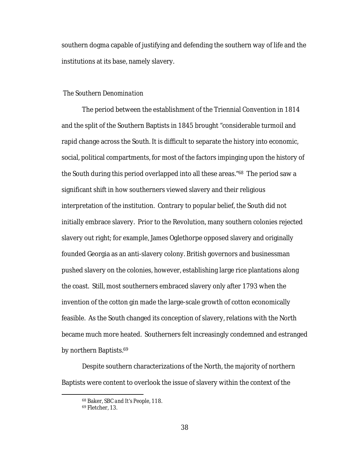southern dogma capable of justifying and defending the southern way of life and the institutions at its base, namely slavery.

#### *The Southern Denomination*

The period between the establishment of the Triennial Convention in 1814 and the split of the Southern Baptists in 1845 brought "considerable turmoil and rapid change across the South. It is difficult to separate the history into economic, social, political compartments, for most of the factors impinging upon the history of the South during this period overlapped into all these areas."68 The period saw a significant shift in how southerners viewed slavery and their religious interpretation of the institution. Contrary to popular belief, the South did not initially embrace slavery. Prior to the Revolution, many southern colonies rejected slavery out right; for example, James Oglethorpe opposed slavery and originally founded Georgia as an anti-slavery colony. British governors and businessman pushed slavery on the colonies, however, establishing large rice plantations along the coast. Still, most southerners embraced slavery only after 1793 when the invention of the cotton gin made the large-scale growth of cotton economically feasible. As the South changed its conception of slavery, relations with the North became much more heated. Southerners felt increasingly condemned and estranged by northern Baptists.69

Despite southern characterizations of the North, the majority of northern Baptists were content to overlook the issue of slavery within the context of the

 <sup>68</sup> Baker, *SBC and It's People*, 118.

<sup>69</sup> Fletcher, 13.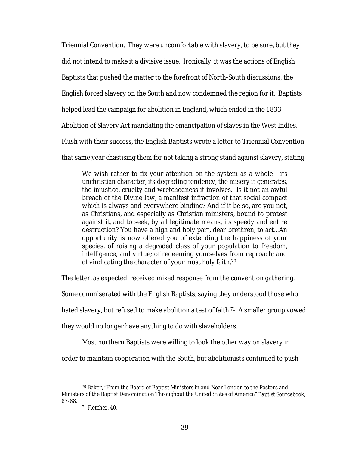Triennial Convention. They were uncomfortable with slavery, to be sure, but they did not intend to make it a divisive issue. Ironically, it was the actions of English Baptists that pushed the matter to the forefront of North-South discussions; the English forced slavery on the South and now condemned the region for it. Baptists helped lead the campaign for abolition in England, which ended in the 1833 Abolition of Slavery Act mandating the emancipation of slaves in the West Indies. Flush with their success, the English Baptists wrote a letter to Triennial Convention that same year chastising them for not taking a strong stand against slavery, stating

We wish rather to fix your attention on the system as a whole - its unchristian character, its degrading tendency, the misery it generates, the injustice, cruelty and wretchedness it involves. Is it not an awful breach of the Divine law, a manifest infraction of that social compact which is always and everywhere binding? And if it be so, are you not, as Christians, and especially as Christian ministers, bound to protest against it, and to seek, by all legitimate means, its speedy and entire destruction? You have a high and holy part, dear brethren, to act…An opportunity is now offered you of extending the happiness of your species, of raising a degraded class of your population to freedom, intelligence, and virtue; of redeeming yourselves from reproach; and of vindicating the character of your most holy faith.70

The letter, as expected, received mixed response from the convention gathering.

Some commiserated with the English Baptists, saying they understood those who

hated slavery, but refused to make abolition a test of faith.<sup>71</sup> A smaller group vowed

they would no longer have anything to do with slaveholders.

Most northern Baptists were willing to look the other way on slavery in

order to maintain cooperation with the South, but abolitionists continued to push

 <sup>70</sup> Baker, "From the Board of Baptist Ministers in and Near London to the Pastors and Ministers of the Baptist Denomination Throughout the United States of America" *Baptist Sourcebook,*  87-88.

<sup>71</sup> Fletcher, 40.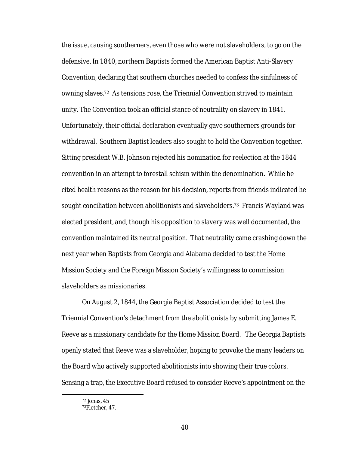the issue, causing southerners, even those who were not slaveholders, to go on the defensive. In 1840, northern Baptists formed the American Baptist Anti-Slavery Convention, declaring that southern churches needed to confess the sinfulness of owning slaves.72 As tensions rose, the Triennial Convention strived to maintain unity. The Convention took an official stance of neutrality on slavery in 1841. Unfortunately, their official declaration eventually gave southerners grounds for withdrawal. Southern Baptist leaders also sought to hold the Convention together. Sitting president W.B. Johnson rejected his nomination for reelection at the 1844 convention in an attempt to forestall schism within the denomination. While he cited health reasons as the reason for his decision, reports from friends indicated he sought conciliation between abolitionists and slaveholders.73 Francis Wayland was elected president, and, though his opposition to slavery was well documented, the convention maintained its neutral position. That neutrality came crashing down the next year when Baptists from Georgia and Alabama decided to test the Home Mission Society and the Foreign Mission Society's willingness to commission slaveholders as missionaries.

On August 2, 1844, the Georgia Baptist Association decided to test the Triennial Convention's detachment from the abolitionists by submitting James E. Reeve as a missionary candidate for the Home Mission Board. The Georgia Baptists openly stated that Reeve was a slaveholder, hoping to provoke the many leaders on the Board who actively supported abolitionists into showing their true colors. Sensing a trap, the Executive Board refused to consider Reeve's appointment on the

 <sup>72</sup> Jonas, 45

<sup>73</sup>Fletcher*,* 47.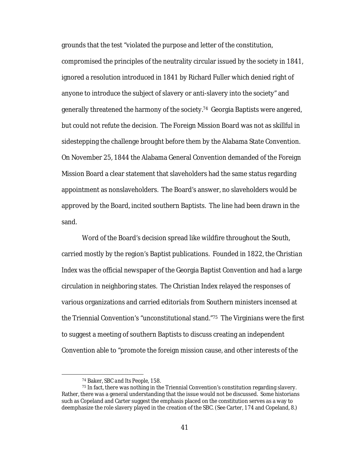grounds that the test "violated the purpose and letter of the constitution, compromised the principles of the neutrality circular issued by the society in 1841, ignored a resolution introduced in 1841 by Richard Fuller which denied right of anyone to introduce the subject of slavery or anti-slavery into the society" and generally threatened the harmony of the society.74 Georgia Baptists were angered, but could not refute the decision. The Foreign Mission Board was not as skillful in sidestepping the challenge brought before them by the Alabama State Convention. On November 25, 1844 the Alabama General Convention demanded of the Foreign Mission Board a clear statement that slaveholders had the same status regarding appointment as nonslaveholders. The Board's answer, no slaveholders would be approved by the Board, incited southern Baptists. The line had been drawn in the sand.

Word of the Board's decision spread like wildfire throughout the South, carried mostly by the region's Baptist publications. Founded in 1822, the *Christian Index* was the official newspaper of the Georgia Baptist Convention and had a large circulation in neighboring states. The Christian Index relayed the responses of various organizations and carried editorials from Southern ministers incensed at the Triennial Convention's "unconstitutional stand."75 The Virginians were the first to suggest a meeting of southern Baptists to discuss creating an independent Convention able to "promote the foreign mission cause, and other interests of the

 <sup>74</sup> Baker, *SBC and Its People,* 158.

<sup>75</sup> In fact, there was nothing in the Triennial Convention's constitution regarding slavery. Rather, there was a general understanding that the issue would not be discussed. Some historians such as Copeland and Carter suggest the emphasis placed on the constitution serves as a way to deemphasize the role slavery played in the creation of the SBC. (See Carter, 174 and Copeland, 8.)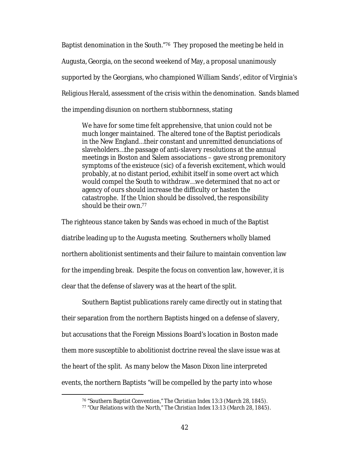Baptist denomination in the South."76 They proposed the meeting be held in Augusta, Georgia, on the second weekend of May, a proposal unanimously supported by the Georgians, who championed William Sands', editor of Virginia's *Religious Herald,* assessment of the crisis within the denomination. Sands blamed the impending disunion on northern stubbornness, stating

We have for some time felt apprehensive, that union could not be much longer maintained. The altered tone of the Baptist periodicals in the New England…their constant and unremitted denunciations of slaveholders…the passage of anti-slavery resolutions at the annual meetings in Boston and Salem associations – gave strong premonitory symptoms of the existeuce (sic) of a feverish excitement, which would probably, at no distant period, exhibit itself in some overt act which would compel the South to withdraw…we determined that no act or agency of ours should increase the difficulty or hasten the catastrophe. If the Union should be dissolved, the responsibility should be their own.77

The righteous stance taken by Sands was echoed in much of the Baptist diatribe leading up to the Augusta meeting. Southerners wholly blamed northern abolitionist sentiments and their failure to maintain convention law for the impending break. Despite the focus on convention law, however, it is clear that the defense of slavery was at the heart of the split.

Southern Baptist publications rarely came directly out in stating that their separation from the northern Baptists hinged on a defense of slavery, but accusations that the Foreign Missions Board's location in Boston made them more susceptible to abolitionist doctrine reveal the slave issue was at the heart of the split. As many below the Mason Dixon line interpreted events, the northern Baptists "will be compelled by the party into whose

 <sup>76</sup> "Southern Baptist Convention," *The Christian Index* 13:3 (March 28, 1845).

<sup>77</sup> "Our Relations with the North," *The Christian Index* 13:13 (March 28, 1845).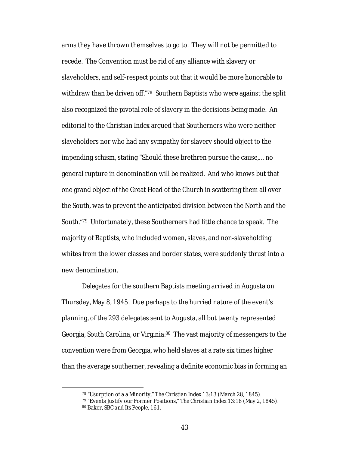arms they have thrown themselves to go to. They will not be permitted to recede. The Convention must be rid of any alliance with slavery or slaveholders, and self-respect points out that it would be more honorable to withdraw than be driven off."78 Southern Baptists who were against the split also recognized the pivotal role of slavery in the decisions being made. An editorial to the *Christian Index* argued that Southerners who were neither slaveholders nor who had any sympathy for slavery should object to the impending schism, stating "Should these brethren pursue the cause,… no general rupture in denomination will be realized. And who knows but that one grand object of the Great Head of the Church in scattering them all over the South, was to prevent the anticipated division between the North and the South."79 Unfortunately, these Southerners had little chance to speak. The majority of Baptists, who included women, slaves, and non-slaveholding whites from the lower classes and border states, were suddenly thrust into a new denomination.

Delegates for the southern Baptists meeting arrived in Augusta on Thursday, May 8, 1945. Due perhaps to the hurried nature of the event's planning, of the 293 delegates sent to Augusta, all but twenty represented Georgia, South Carolina, or Virginia.80 The vast majority of messengers to the convention were from Georgia, who held slaves at a rate six times higher than the average southerner, revealing a definite economic bias in forming an

 <sup>78</sup> "Usurption of a a Minority," *The Christian Index* 13:13 (March 28, 1845).

<sup>79</sup> "Events Justify our Former Positions," *The Christian Index* 13:18 (May 2, 1845). <sup>80</sup> Baker, *SBC and Its People*, 161.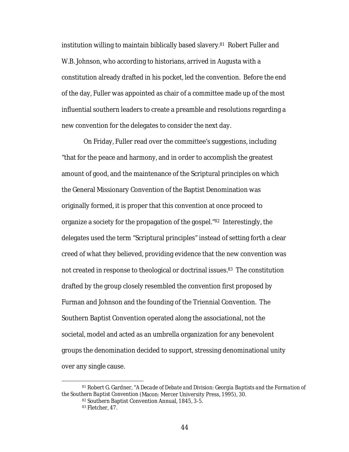institution willing to maintain biblically based slavery.81 Robert Fuller and W.B. Johnson, who according to historians, arrived in Augusta with a constitution already drafted in his pocket, led the convention. Before the end of the day, Fuller was appointed as chair of a committee made up of the most influential southern leaders to create a preamble and resolutions regarding a new convention for the delegates to consider the next day.

On Friday, Fuller read over the committee's suggestions, including "that for the peace and harmony, and in order to accomplish the greatest amount of good, and the maintenance of the Scriptural principles on which the General Missionary Convention of the Baptist Denomination was originally formed, it is proper that this convention at once proceed to organize a society for the propagation of the gospel."82 Interestingly, the delegates used the term "Scriptural principles" instead of setting forth a clear creed of what they believed, providing evidence that the new convention was not created in response to theological or doctrinal issues.<sup>83</sup> The constitution drafted by the group closely resembled the convention first proposed by Furman and Johnson and the founding of the Triennial Convention. The Southern Baptist Convention operated along the associational, not the societal, model and acted as an umbrella organization for any benevolent groups the denomination decided to support, stressing denominational unity over any single cause.

 <sup>81</sup> Robert G. Gardner, "*A Decade of Debate and Division: Georgia Baptists and the Formation of the Southern Baptist Convention* (Macon: Mercer University Press, 1995), 30.

<sup>82</sup> Southern Baptist Convention Annual, 1845, 3-5.

<sup>83</sup> Fletcher, 47.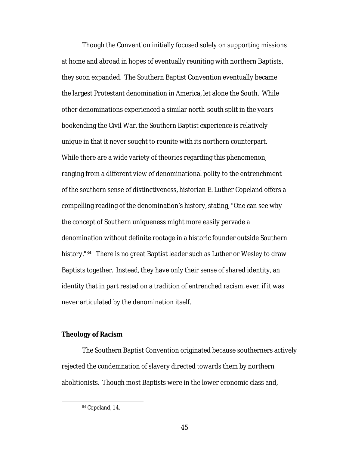Though the Convention initially focused solely on supporting missions at home and abroad in hopes of eventually reuniting with northern Baptists, they soon expanded. The Southern Baptist Convention eventually became the largest Protestant denomination in America, let alone the South. While other denominations experienced a similar north-south split in the years bookending the Civil War, the Southern Baptist experience is relatively unique in that it never sought to reunite with its northern counterpart. While there are a wide variety of theories regarding this phenomenon, ranging from a different view of denominational polity to the entrenchment of the southern sense of distinctiveness, historian E. Luther Copeland offers a compelling reading of the denomination's history, stating, "One can see why the concept of Southern uniqueness might more easily pervade a denomination without definite rootage in a historic founder outside Southern history."<sup>84</sup> There is no great Baptist leader such as Luther or Wesley to draw Baptists together. Instead, they have only their sense of shared identity, an identity that in part rested on a tradition of entrenched racism, even if it was never articulated by the denomination itself.

#### **Theology of Racism**

The Southern Baptist Convention originated because southerners actively rejected the condemnation of slavery directed towards them by northern abolitionists. Though most Baptists were in the lower economic class and,

 <sup>84</sup> Copeland, 14.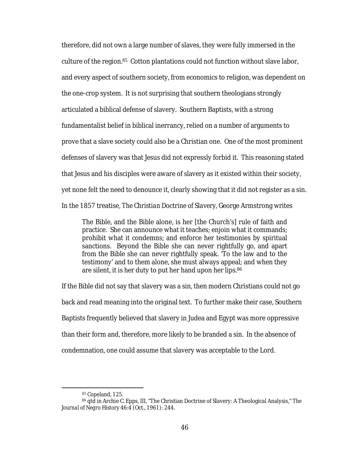therefore, did not own a large number of slaves, they were fully immersed in the culture of the region.85 Cotton plantations could not function without slave labor, and every aspect of southern society, from economics to religion, was dependent on the one-crop system. It is not surprising that southern theologians strongly articulated a biblical defense of slavery. Southern Baptists, with a strong fundamentalist belief in biblical inerrancy, relied on a number of arguments to prove that a slave society could also be a Christian one. One of the most prominent defenses of slavery was that Jesus did not expressly forbid it. This reasoning stated that Jesus and his disciples were aware of slavery as it existed within their society, yet none felt the need to denounce it, clearly showing that it did not register as a sin. In the 1857 treatise, *The Christian Doctrine of Slavery,* George Armstrong writes

The Bible, and the Bible alone, is her [the Church's] rule of faith and practice. She can announce what it teaches; enjoin what it commands; prohibit what it condemns; and enforce her testimonies by spiritual sanctions. Beyond the Bible she can never rightfully go, and apart from the Bible she can never rightfully speak. 'To the law and to the testimony' and to them alone, she must always appeal; and when they are silent, it is her duty to put her hand upon her lips.86

If the Bible did not say that slavery was a sin, then modern Christians could not go back and read meaning into the original text. To further make their case, Southern Baptists frequently believed that slavery in Judea and Egypt was more oppressive than their form and, therefore, more likely to be branded a sin. In the absence of condemnation, one could assume that slavery was acceptable to the Lord.

 <sup>85</sup> Copeland, 125.

<sup>86</sup> qtd in Archie C. Epps, III, "The Christian Doctrine of Slavery: A Theological Analysis," *The Journal of Negro History* 46:4 (Oct., 1961): 244.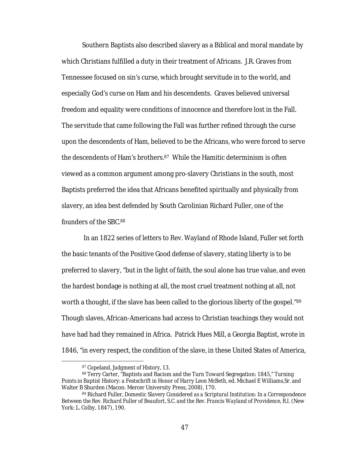Southern Baptists also described slavery as a Biblical and moral mandate by which Christians fulfilled a duty in their treatment of Africans. J.R. Graves from Tennessee focused on sin's curse, which brought servitude in to the world, and especially God's curse on Ham and his descendents. Graves believed universal freedom and equality were conditions of innocence and therefore lost in the Fall. The servitude that came following the Fall was further refined through the curse upon the descendents of Ham, believed to be the Africans, who were forced to serve the descendents of Ham's brothers.87 While the Hamitic determinism is often viewed as a common argument among pro-slavery Christians in the south, most Baptists preferred the idea that Africans benefited spiritually and physically from slavery, an idea best defended by South Carolinian Richard Fuller, one of the founders of the SBC.88

In an 1822 series of letters to Rev. Wayland of Rhode Island, Fuller set forth the basic tenants of the Positive Good defense of slavery, stating liberty is to be preferred to slavery, "but in the light of faith, the soul alone has true value, and even the hardest bondage is nothing at all, the most cruel treatment nothing at all, not worth a thought, if the slave has been called to the glorious liberty of the gospel."<sup>89</sup> Though slaves, African-Americans had access to Christian teachings they would not have had had they remained in Africa. Patrick Hues Mill, a Georgia Baptist, wrote in 1846, "in every respect, the condition of the slave, in these United States of America,

 <sup>87</sup> Copeland*, Judgment of History,* 13.

<sup>88</sup> Terry Carter, "Baptists and Racism and the Turn Toward Segregation: 1845," *Turning Points in Baptist History: a Festschrift in Honor of Harry Leon McBeth*, ed. Michael E Williams,Sr. and Walter B Shurden (Macon: Mercer University Press, 2008), 170.

<sup>89</sup> Richard Fuller, *Domestic Slavery Considered as a Scriptural Institution: In a Correspondence*  Between the Rev. Richard Fuller of Beaufort, S.C. and the Rev. Francis Wayland of Providence, R.I. (New York: L. Colby, 1847), 190.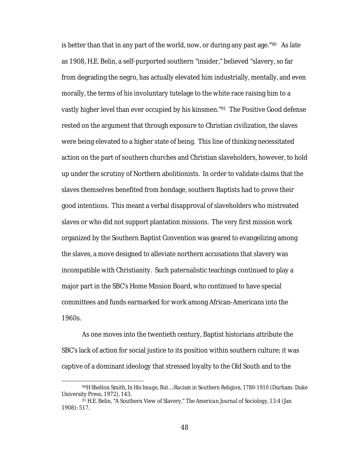is better than that in any part of the world, now, or during any past age."90 As late as 1908, H.E. Belin, a self-purported southern "insider," believed "slavery, so far from degrading the negro, has actually elevated him industrially, mentally, and even morally, the terms of his involuntary tutelage to the white race raising him to a vastly higher level than ever occupied by his kinsmen."91 The Positive Good defense rested on the argument that through exposure to Christian civilization, the slaves were being elevated to a higher state of being. This line of thinking necessitated action on the part of southern churches and Christian slaveholders, however, to hold up under the scrutiny of Northern abolitionists. In order to validate claims that the slaves themselves benefited from bondage, southern Baptists had to prove their good intentions. This meant a verbal disapproval of slaveholders who mistreated slaves or who did not support plantation missions. The very first mission work organized by the Southern Baptist Convention was geared to evangelizing among the slaves, a move designed to alleviate northern accusations that slavery was incompatible with Christianity. Such paternalistic teachings continued to play a major part in the SBC's Home Mission Board, who continued to have special committees and funds earmarked for work among African-Americans into the 1960s.

As one moves into the twentieth century, Baptist historians attribute the SBC's lack of action for social justice to its position within southern culture; it was captive of a dominant ideology that stressed loyalty to the Old South and to the

48

 <sup>90</sup>H Shelton Smith, *In His Image, But…:Racism in Southern Religion, 1780-1910* (Durham: Duke University Press, 1972), 143.

<sup>91</sup> H.E. Belin, "A Southern View of Slavery," *The American Journal of Sociology,* 13:4 (Jan 1908): 517.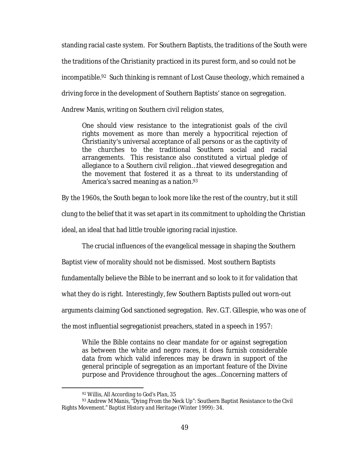standing racial caste system. For Southern Baptists, the traditions of the South were the traditions of the Christianity practiced in its purest form, and so could not be incompatible.92 Such thinking is remnant of Lost Cause theology, which remained a driving force in the development of Southern Baptists' stance on segregation. Andrew Manis, writing on Southern civil religion states,

One should view resistance to the integrationist goals of the civil rights movement as more than merely a hypocritical rejection of Christianity's universal acceptance of all persons or as the captivity of the churches to the traditional Southern social and racial arrangements. This resistance also constituted a virtual pledge of allegiance to a Southern civil religion…that viewed desegregation and the movement that fostered it as a threat to its understanding of America's sacred meaning as a nation.<sup>93</sup>

By the 1960s, the South began to look more like the rest of the country, but it still

clung to the belief that it was set apart in its commitment to upholding the Christian

ideal, an ideal that had little trouble ignoring racial injustice.

The crucial influences of the evangelical message in shaping the Southern

Baptist view of morality should not be dismissed. Most southern Baptists

fundamentally believe the Bible to be inerrant and so look to it for validation that

what they do is right. Interestingly, few Southern Baptists pulled out worn-out

arguments claiming God sanctioned segregation. Rev. G.T. Gillespie, who was one of

the most influential segregationist preachers, stated in a speech in 1957:

While the Bible contains no clear mandate for or against segregation as between the white and negro races, it does furnish considerable data from which valid inferences may be drawn in support of the general principle of segregation as an important feature of the Divine purpose and Providence throughout the ages…Concerning matters of

 <sup>92</sup> Willis, *All According to God's Plan*, 35

<sup>93</sup> Andrew M Manis, "Dying From the Neck Up": Southern Baptist Resistance to the Civil Rights Movement." *Baptist History and Heritage* (Winter 1999): 34.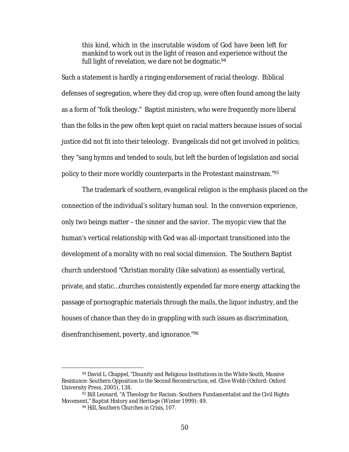this kind, which in the inscrutable wisdom of God have been left for mankind to work out in the light of reason and experience without the full light of revelation, we dare not be dogmatic.<sup>94</sup>

Such a statement is hardly a ringing endorsement of racial theology. Biblical defenses of segregation, where they did crop up, were often found among the laity as a form of "folk theology." Baptist ministers, who were frequently more liberal than the folks in the pew often kept quiet on racial matters because issues of social justice did not fit into their teleology. Evangelicals did not get involved in politics; they "sang hymns and tended to souls, but left the burden of legislation and social policy to their more worldly counterparts in the Protestant mainstream."95

The trademark of southern, evangelical religion is the emphasis placed on the connection of the individual's solitary human soul. In the conversion experience, only two beings matter – the sinner and the savior. The myopic view that the human's vertical relationship with God was all-important transitioned into the development of a morality with no real social dimension. The Southern Baptist church understood "Christian morality (like salvation) as essentially vertical, private, and static…churches consistently expended far more energy attacking the passage of pornographic materials through the mails, the liquor industry, and the houses of chance than they do in grappling with such issues as discrimination, disenfranchisement, poverty, and ignorance."96

 <sup>94</sup> David L. Chappel, "Disunity and Religious Institutions in the White South, *Massive Resistance: Southern Opposition to the Second Reconstruction,* ed. Clive Webb (Oxford: Oxford University Press, 2005), 138.

<sup>95</sup> Bill Leonard, "A Theology for Racism: Southern Fundamentalist and the Civil Rights Movement," *Baptist History and Heritage* (Winter 1999): 49.

<sup>96</sup> Hill, *Southern Churches in Crisis*, 107.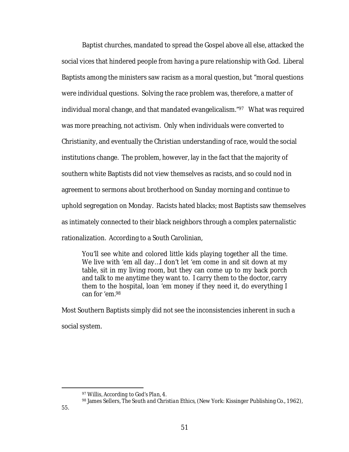Baptist churches, mandated to spread the Gospel above all else, attacked the social vices that hindered people from having a pure relationship with God. Liberal Baptists among the ministers saw racism as a moral question, but "moral questions were individual questions. Solving the race problem was, therefore, a matter of individual moral change, and that mandated evangelicalism."97 What was required was more preaching, not activism. Only when individuals were converted to Christianity, and eventually the Christian understanding of race, would the social institutions change. The problem, however, lay in the fact that the majority of southern white Baptists did not view themselves as racists, and so could nod in agreement to sermons about brotherhood on Sunday morning and continue to uphold segregation on Monday. Racists hated blacks; most Baptists saw themselves as intimately connected to their black neighbors through a complex paternalistic rationalization. According to a South Carolinian,

You'll see white and colored little kids playing together all the time. We live with 'em all day…I don't let 'em come in and sit down at my table, sit in my living room, but they can come up to my back porch and talk to me anytime they want to. I carry them to the doctor, carry them to the hospital, loan 'em money if they need it, do everything I can for 'em.98

Most Southern Baptists simply did not see the inconsistencies inherent in such a social system.

 <sup>97</sup> Willis*, According to God's Plan*, 4.

<sup>98</sup> James Sellers, *The South and Christian Ethics,* (New York: Kissinger Publishing Co., 1962),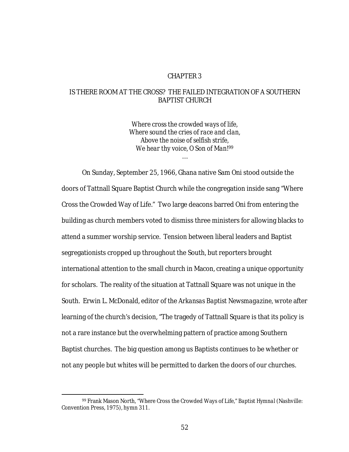# CHAPTER 3

# IS THERE ROOM AT THE CROSS? THE FAILED INTEGRATION OF A SOUTHERN BAPTIST CHURCH

*Where cross the crowded ways of life, Where sound the cries of race and clan, Above the noise of selfish strife, We hear thy voice, O Son of Man!99*

…

On Sunday, September 25, 1966, Ghana native Sam Oni stood outside the doors of Tattnall Square Baptist Church while the congregation inside sang "Where Cross the Crowded Way of Life." Two large deacons barred Oni from entering the building as church members voted to dismiss three ministers for allowing blacks to attend a summer worship service. Tension between liberal leaders and Baptist segregationists cropped up throughout the South, but reporters brought international attention to the small church in Macon, creating a unique opportunity for scholars. The reality of the situation at Tattnall Square was not unique in the South. Erwin L. McDonald, editor of the *Arkansas Baptist Newsmagazine,* wrote after learning of the church's decision, "The tragedy of Tattnall Square is that its policy is not a rare instance but the overwhelming pattern of practice among Southern Baptist churches. The big question among us Baptists continues to be whether or not any people but whites will be permitted to darken the doors of our churches.

 <sup>99</sup> Frank Mason North, "Where Cross the Crowded Ways of Life," *Baptist Hymnal* (Nashville: Convention Press, 1975), hymn 311.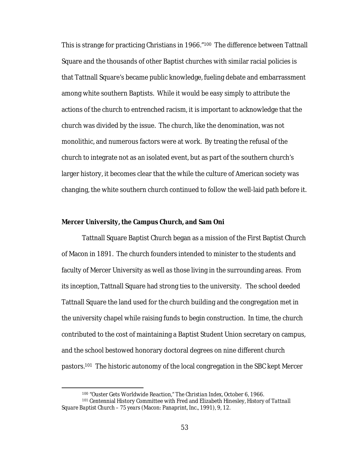This is strange for practicing Christians in 1966."<sup>100</sup> The difference between Tattnall Square and the thousands of other Baptist churches with similar racial policies is that Tattnall Square's became public knowledge, fueling debate and embarrassment among white southern Baptists. While it would be easy simply to attribute the actions of the church to entrenched racism, it is important to acknowledge that the church was divided by the issue. The church, like the denomination, was not monolithic, and numerous factors were at work. By treating the refusal of the church to integrate not as an isolated event, but as part of the southern church's larger history, it becomes clear that the while the culture of American society was changing, the white southern church continued to follow the well-laid path before it.

#### **Mercer University, the Campus Church, and Sam Oni**

Tattnall Square Baptist Church began as a mission of the First Baptist Church of Macon in 1891. The church founders intended to minister to the students and faculty of Mercer University as well as those living in the surrounding areas. From its inception, Tattnall Square had strong ties to the university. The school deeded Tattnall Square the land used for the church building and the congregation met in the university chapel while raising funds to begin construction. In time, the church contributed to the cost of maintaining a Baptist Student Union secretary on campus, and the school bestowed honorary doctoral degrees on nine different church pastors.101 The historic autonomy of the local congregation in the SBC kept Mercer

 <sup>100</sup> "Ouster Gets Worldwide Reaction," *The Christian Index*, October 6, 1966.

<sup>101</sup> Centennial History Committee with Fred and Elizabeth Hinesley, *History of Tattnall Square Baptist Church – 75 years* (Macon: Panaprint, Inc., 1991), 9, 12.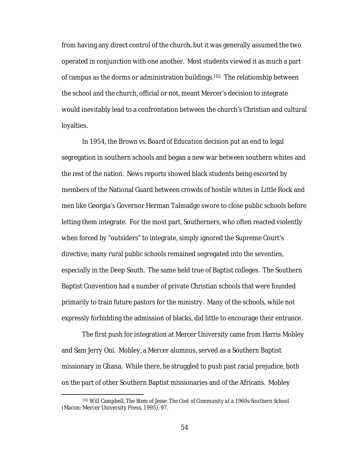from having any direct control of the church, but it was generally assumed the two operated in conjunction with one another. Most students viewed it as much a part of campus as the dorms or administration buildings.102 The relationship between the school and the church, official or not, meant Mercer's decision to integrate would inevitably lead to a confrontation between the church's Christian and cultural loyalties.

In 1954, the *Brown vs. Board of Education* decision put an end to legal segregation in southern schools and began a new war between southern whites and the rest of the nation. News reports showed black students being escorted by members of the National Guard between crowds of hostile whites in Little Rock and men like Georgia's Governor Herman Talmadge swore to close public schools before letting them integrate. For the most part, Southerners, who often reacted violently when forced by "outsiders" to integrate, simply ignored the Supreme Court's directive; many rural public schools remained segregated into the seventies, especially in the Deep South. The same held true of Baptist colleges. The Southern Baptist Convention had a number of private Christian schools that were founded primarily to train future pastors for the ministry. Many of the schools, while not expressly forbidding the admission of blacks, did little to encourage their entrance.

The first push for integration at Mercer University came from Harris Mobley and Sam Jerry Oni. Mobley, a Mercer alumnus, served as a Southern Baptist missionary in Ghana. While there, he struggled to push past racial prejudice, both on the part of other Southern Baptist missionaries and of the Africans. Mobley

 <sup>102</sup> Will Campbell, *The Stem of Jesse: The Cost of Community at a 1960s Southern School* (Macon: Mercer University Press, 1995), 97.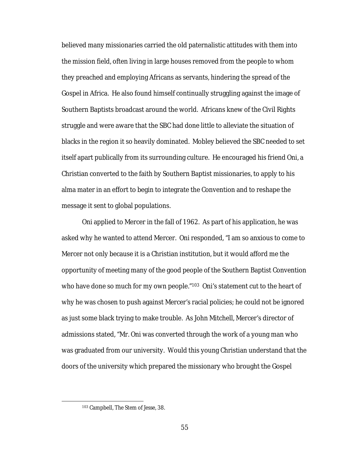believed many missionaries carried the old paternalistic attitudes with them into the mission field, often living in large houses removed from the people to whom they preached and employing Africans as servants, hindering the spread of the Gospel in Africa. He also found himself continually struggling against the image of Southern Baptists broadcast around the world. Africans knew of the Civil Rights struggle and were aware that the SBC had done little to alleviate the situation of blacks in the region it so heavily dominated. Mobley believed the SBC needed to set itself apart publically from its surrounding culture. He encouraged his friend Oni, a Christian converted to the faith by Southern Baptist missionaries, to apply to his alma mater in an effort to begin to integrate the Convention and to reshape the message it sent to global populations.

Oni applied to Mercer in the fall of 1962. As part of his application, he was asked why he wanted to attend Mercer. Oni responded, "I am so anxious to come to Mercer not only because it is a Christian institution, but it would afford me the opportunity of meeting many of the good people of the Southern Baptist Convention who have done so much for my own people."<sup>103</sup> Oni's statement cut to the heart of why he was chosen to push against Mercer's racial policies; he could not be ignored as just some black trying to make trouble. As John Mitchell, Mercer's director of admissions stated, "Mr. Oni was converted through the work of a young man who was graduated from our university. Would this young Christian understand that the doors of the university which prepared the missionary who brought the Gospel

 <sup>103</sup> Campbell, *The Stem of Jesse*, 38.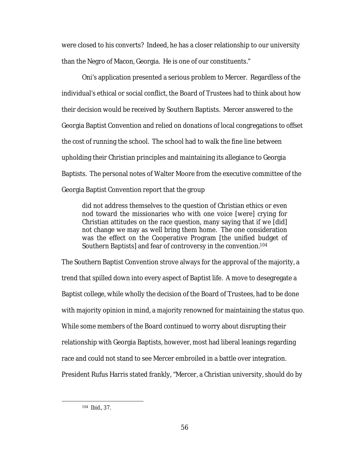were closed to his converts? Indeed, he has a closer relationship to our university than the Negro of Macon, Georgia. He is one of our constituents."

Oni's application presented a serious problem to Mercer. Regardless of the individual's ethical or social conflict, the Board of Trustees had to think about how their decision would be received by Southern Baptists. Mercer answered to the Georgia Baptist Convention and relied on donations of local congregations to offset the cost of running the school. The school had to walk the fine line between upholding their Christian principles and maintaining its allegiance to Georgia Baptists. The personal notes of Walter Moore from the executive committee of the Georgia Baptist Convention report that the group

did not address themselves to the question of Christian ethics or even nod toward the missionaries who with one voice [were] crying for Christian attitudes on the race question, many saying that if we [did] not change we may as well bring them home. The one consideration was the effect on the Cooperative Program [the unified budget of Southern Baptists] and fear of controversy in the convention.104

The Southern Baptist Convention strove always for the approval of the majority, a trend that spilled down into every aspect of Baptist life. A move to desegregate a Baptist college, while wholly the decision of the Board of Trustees, had to be done with majority opinion in mind, a majority renowned for maintaining the status quo. While some members of the Board continued to worry about disrupting their relationship with Georgia Baptists, however, most had liberal leanings regarding race and could not stand to see Mercer embroiled in a battle over integration. President Rufus Harris stated frankly, "Mercer, a Christian university, should do by

 <sup>104</sup> *Ibid.,* 37.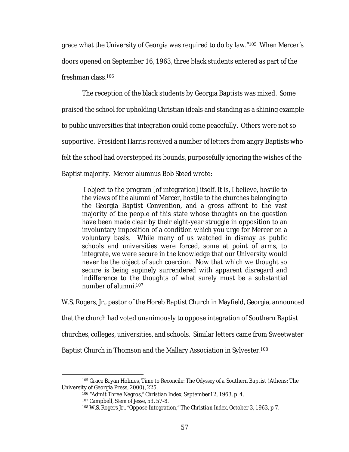grace what the University of Georgia was required to do by law."105 When Mercer's doors opened on September 16, 1963, three black students entered as part of the freshman class.106

The reception of the black students by Georgia Baptists was mixed. Some praised the school for upholding Christian ideals and standing as a shining example to public universities that integration could come peacefully. Others were not so supportive. President Harris received a number of letters from angry Baptists who felt the school had overstepped its bounds, purposefully ignoring the wishes of the Baptist majority. Mercer alumnus Bob Steed wrote:

I object to the program [of integration] itself. It is, I believe, hostile to the views of the alumni of Mercer, hostile to the churches belonging to the Georgia Baptist Convention, and a gross affront to the vast majority of the people of this state whose thoughts on the question have been made clear by their eight-year struggle in opposition to an involuntary imposition of a condition which you urge for Mercer on a voluntary basis. While many of us watched in dismay as public schools and universities were forced, some at point of arms, to integrate, we were secure in the knowledge that our University would never be the object of such coercion. Now that which we thought so secure is being supinely surrendered with apparent disregard and indifference to the thoughts of what surely must be a substantial number of alumni.107

W.S. Rogers, Jr., pastor of the Horeb Baptist Church in Mayfield, Georgia, announced

that the church had voted unanimously to oppose integration of Southern Baptist

churches, colleges, universities, and schools. Similar letters came from Sweetwater

Baptist Church in Thomson and the Mallary Association in Sylvester.108

 <sup>105</sup> Grace Bryan Holmes, *Time to Reconcile: The Odyssey of a Southern Baptist* (Athens: The University of Georgia Press, 2000), 225.

<sup>106</sup> "Admit Three Negros," *Christian Index,* September12, 1963. p. 4.

<sup>107</sup> Campbell, *Stem of Jesse,* 53, 57-8.

<sup>108</sup> W.S. Rogers Jr., "Oppose Integration," *The Christian Index,* October 3, 1963, p 7.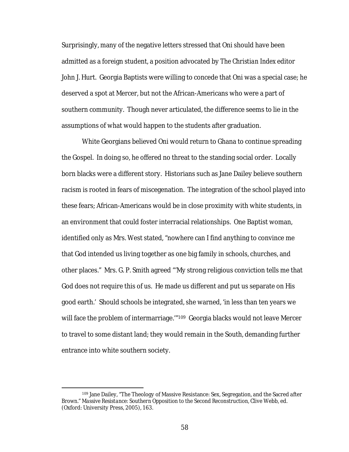Surprisingly, many of the negative letters stressed that Oni should have been admitted as a foreign student, a position advocated by *The Christian Index* editor John J. Hurt. Georgia Baptists were willing to concede that Oni was a special case; he deserved a spot at Mercer, but not the African-Americans who were a part of southern community. Though never articulated, the difference seems to lie in the assumptions of what would happen to the students after graduation.

White Georgians believed Oni would return to Ghana to continue spreading the Gospel. In doing so, he offered no threat to the standing social order. Locally born blacks were a different story. Historians such as Jane Dailey believe southern racism is rooted in fears of miscegenation. The integration of the school played into these fears; African-Americans would be in close proximity with white students, in an environment that could foster interracial relationships. One Baptist woman, identified only as Mrs. West stated, "nowhere can I find anything to convince me that God intended us living together as one big family in schools, churches, and other places." Mrs. G. P. Smith agreed "'My strong religious conviction tells me that God does not require this of us. He made us different and put us separate on His good earth.' Should schools be integrated, she warned, 'in less than ten years we will face the problem of intermarriage."<sup>109</sup> Georgia blacks would not leave Mercer to travel to some distant land; they would remain in the South, demanding further entrance into white southern society.

 <sup>109</sup> Jane Dailey, "The Theology of Massive Resistance: Sex, Segregation, and the Sacred after *Brown*." *Massive Resistance: Southern Opposition to the Second Reconstruction,* Clive Webb, ed. (Oxford: University Press, 2005), 163.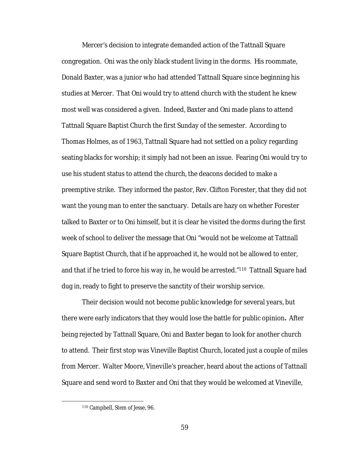Mercer's decision to integrate demanded action of the Tattnall Square congregation. Oni was the only black student living in the dorms. His roommate, Donald Baxter, was a junior who had attended Tattnall Square since beginning his studies at Mercer. That Oni would try to attend church with the student he knew most well was considered a given. Indeed, Baxter and Oni made plans to attend Tattnall Square Baptist Church the first Sunday of the semester. According to Thomas Holmes, as of 1963, Tattnall Square had not settled on a policy regarding seating blacks for worship; it simply had not been an issue. Fearing Oni would try to use his student status to attend the church, the deacons decided to make a preemptive strike. They informed the pastor, Rev. Clifton Forester, that they did not want the young man to enter the sanctuary. Details are hazy on whether Forester talked to Baxter or to Oni himself, but it is clear he visited the dorms during the first week of school to deliver the message that Oni "would not be welcome at Tattnall Square Baptist Church, that if he approached it, he would not be allowed to enter, and that if he tried to force his way in, he would be arrested."110 Tattnall Square had dug in, ready to fight to preserve the sanctity of their worship service.

Their decision would not become public knowledge for several years, but there were early indicators that they would lose the battle for public opinion**.** After being rejected by Tattnall Square, Oni and Baxter began to look for another church to attend. Their first stop was Vineville Baptist Church, located just a couple of miles from Mercer. Walter Moore, Vineville's preacher, heard about the actions of Tattnall Square and send word to Baxter and Oni that they would be welcomed at Vineville,

 <sup>110</sup> Campbell, *Stem of Jesse*, 96.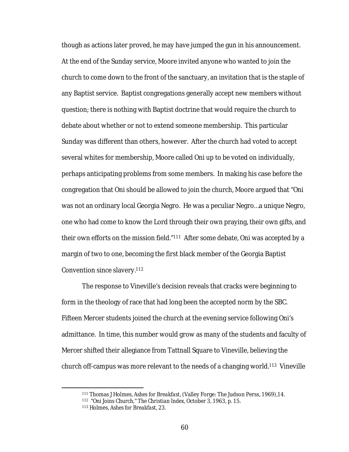though as actions later proved, he may have jumped the gun in his announcement. At the end of the Sunday service, Moore invited anyone who wanted to join the church to come down to the front of the sanctuary, an invitation that is the staple of any Baptist service. Baptist congregations generally accept new members without question; there is nothing with Baptist doctrine that would require the church to debate about whether or not to extend someone membership. This particular Sunday was different than others, however. After the church had voted to accept several whites for membership, Moore called Oni up to be voted on individually, perhaps anticipating problems from some members. In making his case before the congregation that Oni should be allowed to join the church, Moore argued that "Oni was not an ordinary local Georgia Negro. He was a peculiar Negro…a unique Negro, one who had come to know the Lord through their own praying, their own gifts, and their own efforts on the mission field."111 After some debate, Oni was accepted by a margin of two to one, becoming the first black member of the Georgia Baptist Convention since slavery.112

The response to Vineville's decision reveals that cracks were beginning to form in the theology of race that had long been the accepted norm by the SBC. Fifteen Mercer students joined the church at the evening service following Oni's admittance. In time, this number would grow as many of the students and faculty of Mercer shifted their allegiance from Tattnall Square to Vineville, believing the church off-campus was more relevant to the needs of a changing world.113 Vineville

 <sup>111</sup> Thomas J Holmes, *Ashes for Breakfast*, (Valley Forge: The Judson Perss, 1969),14.

<sup>112 &</sup>quot;Oni Joins Church," *The Christian Index,* October 3, 1963, p. 15.

<sup>113</sup> Holmes, *Ashes for Breakfast,* 23.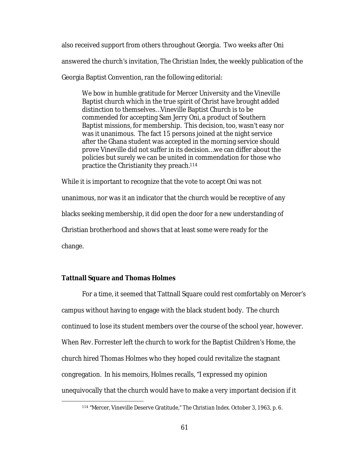also received support from others throughout Georgia. Two weeks after Oni answered the church's invitation, *The Christian Index,* the weekly publication of the Georgia Baptist Convention, ran the following editorial:

We bow in humble gratitude for Mercer University and the Vineville Baptist church which in the true spirit of Christ have brought added distinction to themselves…Vineville Baptist Church is to be commended for accepting Sam Jerry Oni, a product of Southern Baptist missions, for membership. This decision, too, wasn't easy nor was it unanimous. The fact 15 persons joined at the night service after the Ghana student was accepted in the morning service should prove Vineville did not suffer in its decision…we can differ about the policies but surely we can be united in commendation for those who practice the Christianity they preach.114

While it is important to recognize that the vote to accept Oni was not unanimous, nor was it an indicator that the church would be receptive of any blacks seeking membership, it did open the door for a new understanding of Christian brotherhood and shows that at least some were ready for the change.

# **Tattnall Square and Thomas Holmes**

For a time, it seemed that Tattnall Square could rest comfortably on Mercer's campus without having to engage with the black student body. The church continued to lose its student members over the course of the school year, however. When Rev. Forrester left the church to work for the Baptist Children's Home, the church hired Thomas Holmes who they hoped could revitalize the stagnant congregation. In his memoirs, Holmes recalls, "I expressed my opinion unequivocally that the church would have to make a very important decision if it

 <sup>114</sup> "Mercer, Vineville Deserve Gratitude," *The Christian Index.* October 3, 1963, p. 6.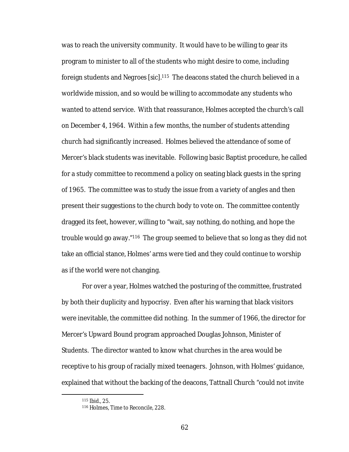was to reach the university community. It would have to be willing to gear its program to minister to all of the students who might desire to come, including foreign students and *Negroes* [*sic*].115 The deacons stated the church believed in a worldwide mission, and so would be willing to accommodate any students who wanted to attend service. With that reassurance, Holmes accepted the church's call on December 4, 1964. Within a few months, the number of students attending church had significantly increased. Holmes believed the attendance of some of Mercer's black students was inevitable. Following basic Baptist procedure, he called for a study committee to recommend a policy on seating black guests in the spring of 1965. The committee was to study the issue from a variety of angles and then present their suggestions to the church body to vote on. The committee contently dragged its feet, however, willing to "wait, say nothing, do nothing, and hope the trouble would go away."116 The group seemed to believe that so long as they did not take an official stance, Holmes' arms were tied and they could continue to worship as if the world were not changing.

For over a year, Holmes watched the posturing of the committee, frustrated by both their duplicity and hypocrisy. Even after his warning that black visitors were inevitable, the committee did nothing. In the summer of 1966, the director for Mercer's Upward Bound program approached Douglas Johnson, Minister of Students. The director wanted to know what churches in the area would be receptive to his group of racially mixed teenagers. Johnson, with Holmes' guidance, explained that without the backing of the deacons, Tattnall Church "could not *invite*

 <sup>115</sup> *Ibid*., 25.

<sup>116</sup> Holmes, *Time to Reconcile*, 228.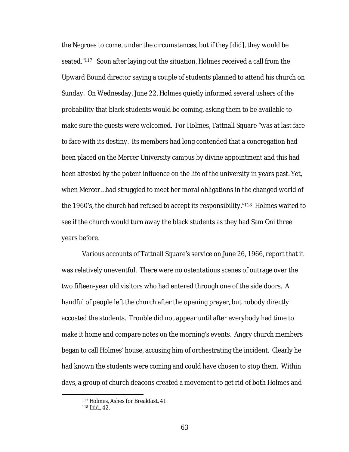the Negroes to come, under the circumstances, but if they [did], they would be seated."117 Soon after laying out the situation, Holmes received a call from the Upward Bound director saying a couple of students planned to attend his church on Sunday. On Wednesday, June 22, Holmes quietly informed several ushers of the probability that black students would be coming, asking them to be available to make sure the guests were welcomed. For Holmes, Tattnall Square "was at last face to face with its destiny. Its members had long contended that a congregation had been placed on the Mercer University campus by divine appointment and this had been attested by the potent influence on the life of the university in years past. Yet, when Mercer…had struggled to meet her moral obligations in the changed world of the 1960's, the church had refused to accept its responsibility."118 Holmes waited to see if the church would turn away the black students as they had Sam Oni three years before.

Various accounts of Tattnall Square's service on June 26, 1966, report that it was relatively uneventful. There were no ostentatious scenes of outrage over the two fifteen-year old visitors who had entered through one of the side doors. A handful of people left the church after the opening prayer, but nobody directly accosted the students. Trouble did not appear until after everybody had time to make it home and compare notes on the morning's events. Angry church members began to call Holmes' house, accusing him of orchestrating the incident. Clearly he had known the students were coming and could have chosen to stop them. Within days, a group of church deacons created a movement to get rid of both Holmes and

 <sup>117</sup> Holmes, Ashes for Breakfast, 41.

<sup>118</sup> *Ibid*., 42.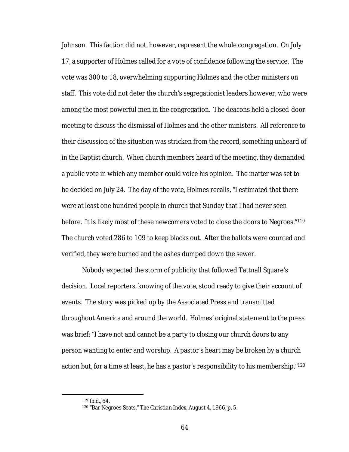Johnson. This faction did not, however, represent the whole congregation. On July 17, a supporter of Holmes called for a vote of confidence following the service. The vote was 300 to 18, overwhelming supporting Holmes and the other ministers on staff. This vote did not deter the church's segregationist leaders however, who were among the most powerful men in the congregation. The deacons held a closed-door meeting to discuss the dismissal of Holmes and the other ministers. All reference to their discussion of the situation was stricken from the record, something unheard of in the Baptist church. When church members heard of the meeting, they demanded a public vote in which any member could voice his opinion. The matter was set to be decided on July 24. The day of the vote, Holmes recalls, "I estimated that there were at least one hundred people in church that Sunday that I had never seen before. It is likely most of these newcomers voted to close the doors to Negroes."119 The church voted 286 to 109 to keep blacks out. After the ballots were counted and verified, they were burned and the ashes dumped down the sewer.

Nobody expected the storm of publicity that followed Tattnall Square's decision. Local reporters, knowing of the vote, stood ready to give their account of events. The story was picked up by the Associated Press and transmitted throughout America and around the world. Holmes' original statement to the press was brief: "I have not and cannot be a party to closing our church doors to any person wanting to enter and worship. A pastor's heart may be broken by a church action but, for a time at least, he has a pastor's responsibility to his membership."<sup>120</sup>

 <sup>119</sup> *Ibid*., 64.

<sup>120</sup> "Bar Negroes Seats," *The Christian Index,* August 4, 1966, p. 5.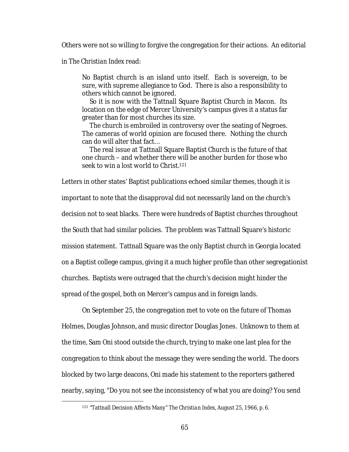Others were not so willing to forgive the congregation for their actions. An editorial

in *The Christian Index* read:

No Baptist church is an island unto itself. Each is sovereign, to be sure, with supreme allegiance to God. There is also a responsibility to others which cannot be ignored.

 So it is now with the Tattnall Square Baptist Church in Macon. Its location on the edge of Mercer University's campus gives it a status far greater than for most churches its size.

 The church is embroiled in controversy over the seating of Negroes. The cameras of world opinion are focused there. Nothing the church can do will alter that fact…

 The real issue at Tattnall Square Baptist Church is the future of that one church – and whether there will be another burden for those who seek to win a lost world to Christ.121

Letters in other states' Baptist publications echoed similar themes, though it is important to note that the disapproval did not necessarily land on the church's decision not to seat blacks. There were hundreds of Baptist churches throughout the South that had similar policies. The problem was Tattnall Square's historic mission statement. Tattnall Square was the only Baptist church in Georgia located on a Baptist college campus, giving it a much higher profile than other segregationist churches. Baptists were outraged that the church's decision might hinder the spread of the gospel, both on Mercer's campus and in foreign lands.

On September 25, the congregation met to vote on the future of Thomas Holmes, Douglas Johnson, and music director Douglas Jones. Unknown to them at the time, Sam Oni stood outside the church, trying to make one last plea for the congregation to think about the message they were sending the world. The doors blocked by two large deacons, Oni made his statement to the reporters gathered nearby, saying, "Do you not see the inconsistency of what you are doing? You send

 <sup>121</sup> "Tattnall Decision Affects Many" *The Christian Index,* August 25, 1966, p. 6.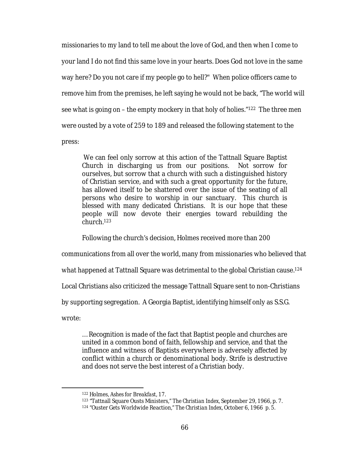missionaries to my land to tell me about the love of God, and then when I come to your land I do not find this same love in your hearts. Does God not love in the same way here? Do you not care if my people go to hell?" When police officers came to remove him from the premises, he left saying he would not be back, "The world will see what is going on – the empty mockery in that holy of holies."122 The three men were ousted by a vote of 259 to 189 and released the following statement to the press:

We can feel only sorrow at this action of the Tattnall Square Baptist Church in discharging us from our positions. Not sorrow for ourselves, but sorrow that a church with such a distinguished history of Christian service, and with such a great opportunity for the future, has allowed itself to be shattered over the issue of the seating of all persons who desire to worship in our sanctuary. This church is blessed with many dedicated Christians. It is our hope that these people will now devote their energies toward rebuilding the church.123

Following the church's decision, Holmes received more than 200

communications from all over the world, many from missionaries who believed that

what happened at Tattnall Square was detrimental to the global Christian cause.<sup>124</sup>

Local Christians also criticized the message Tattnall Square sent to non-Christians

by supporting segregation. A Georgia Baptist, identifying himself only as S.S.G.

wrote:

… Recognition is made of the fact that Baptist people and churches are united in a common bond of faith, fellowship and service, and that the influence and witness of Baptists everywhere is adversely affected by conflict within a church or denominational body. Strife is destructive and does not serve the best interest of a Christian body.

 <sup>122</sup> Holmes, *Ashes for Breakfast*, 17.

<sup>123</sup> "Tattnall Square Ousts Ministers," *The Christian Index*, September 29, 1966, p. 7.

<sup>124</sup> "Ouster Gets Worldwide Reaction," *The Christian Index*, October 6, 1966 p. 5.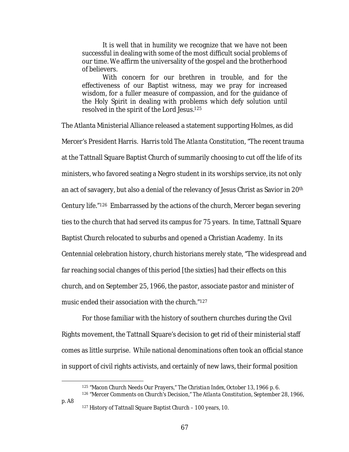It is well that in humility we recognize that we have not been successful in dealing with some of the most difficult social problems of our time. We affirm the universality of the gospel and the brotherhood of believers.

With concern for our brethren in trouble, and for the effectiveness of our Baptist witness, may we pray for increased wisdom, for a fuller measure of compassion, and for the guidance of the Holy Spirit in dealing with problems which defy solution until resolved in the spirit of the Lord Jesus.125

The Atlanta Ministerial Alliance released a statement supporting Holmes, as did Mercer's President Harris. Harris told *The Atlanta Constitution*, "The recent trauma at the Tattnall Square Baptist Church of summarily choosing to cut off the life of its ministers, who favored seating a Negro student in its worships service, its not only an act of savagery, but also a denial of the relevancy of Jesus Christ as Savior in 20th Century life."126 Embarrassed by the actions of the church, Mercer began severing ties to the church that had served its campus for 75 years. In time, Tattnall Square Baptist Church relocated to suburbs and opened a Christian Academy. In its Centennial celebration history, church historians merely state, "The widespread and far reaching social changes of this period [the sixties] had their effects on this church, and on September 25, 1966, the pastor, associate pastor and minister of music ended their association with the church."127

For those familiar with the history of southern churches during the Civil Rights movement, the Tattnall Square's decision to get rid of their ministerial staff comes as little surprise. While national denominations often took an official stance in support of civil rights activists, and certainly of new laws, their formal position

p. A8

 <sup>125</sup> "Macon Church Needs Our Prayers," *The Christian Index*, October 13, 1966 p. 6.

<sup>126</sup> "Mercer Comments on Church's Decision," *The Atlanta Constitution,* September 28, 1966,

<sup>127</sup> History of Tattnall Square Baptist Church – 100 years, 10.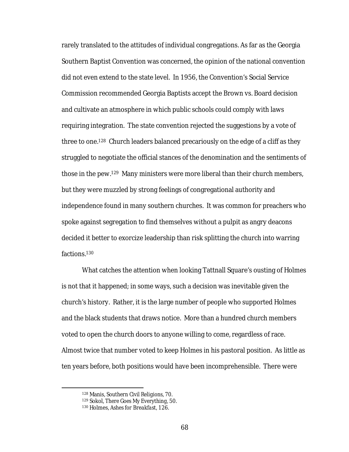rarely translated to the attitudes of individual congregations. As far as the Georgia Southern Baptist Convention was concerned, the opinion of the national convention did not even extend to the state level. In 1956, the Convention's Social Service Commission recommended Georgia Baptists accept the Brown vs. Board decision and cultivate an atmosphere in which public schools could comply with laws requiring integration. The state convention rejected the suggestions by a vote of three to one.128 Church leaders balanced precariously on the edge of a cliff as they struggled to negotiate the official stances of the denomination and the sentiments of those in the pew.129 Many ministers were more liberal than their church members, but they were muzzled by strong feelings of congregational authority and independence found in many southern churches. It was common for preachers who spoke against segregation to find themselves without a pulpit as angry deacons decided it better to exorcize leadership than risk splitting the church into warring factions.130

What catches the attention when looking Tattnall Square's ousting of Holmes is not that it happened; in some ways, such a decision was inevitable given the church's history. Rather, it is the large number of people who supported Holmes and the black students that draws notice. More than a hundred church members voted to open the church doors to anyone willing to come, regardless of race. Almost twice that number voted to keep Holmes in his pastoral position. As little as ten years before, both positions would have been incomprehensible. There were

 <sup>128</sup> Manis, *Southern Civil Religions*, 70.

<sup>129</sup> Sokol, *There Goes My Everything,* 50.

<sup>130</sup> Holmes, *Ashes for Breakfast,* 126.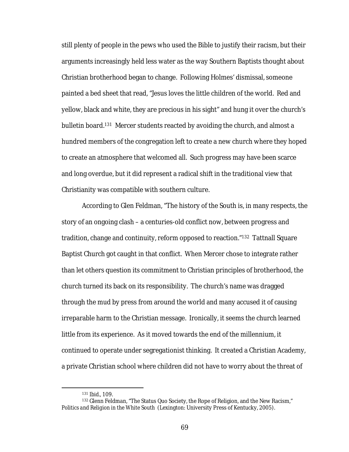still plenty of people in the pews who used the Bible to justify their racism, but their arguments increasingly held less water as the way Southern Baptists thought about Christian brotherhood began to change. Following Holmes' dismissal, someone painted a bed sheet that read, "Jesus loves the little children of the world. Red and yellow, black and white, they are precious in his sight" and hung it over the church's bulletin board.131 Mercer students reacted by avoiding the church, and almost a hundred members of the congregation left to create a new church where they hoped to create an atmosphere that welcomed all. Such progress may have been scarce and long overdue, but it did represent a radical shift in the traditional view that Christianity was compatible with southern culture.

According to Glen Feldman, "The history of the South is, in many respects, the story of an ongoing clash – a centuries-old conflict now, between progress and tradition, change and continuity, reform opposed to reaction."132 Tattnall Square Baptist Church got caught in that conflict. When Mercer chose to integrate rather than let others question its commitment to Christian principles of brotherhood, the church turned its back on its responsibility. The church's name was dragged through the mud by press from around the world and many accused it of causing irreparable harm to the Christian message. Ironically, it seems the church learned little from its experience. As it moved towards the end of the millennium, it continued to operate under segregationist thinking. It created a Christian Academy, a private Christian school where children did not have to worry about the threat of

 <sup>131</sup> *Ibid.,* 109.

<sup>132</sup> Glenn Feldman, "The Status Quo Society, the Rope of Religion, and the New Racism," *Politics and Religion in the White South* (Lexington: University Press of Kentucky, 2005).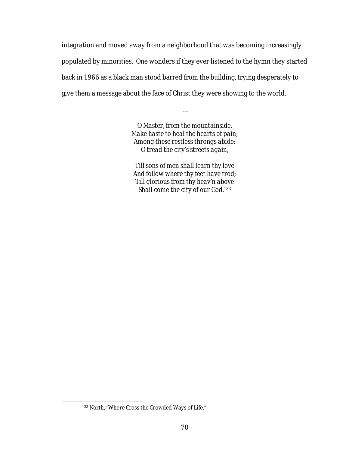integration and moved away from a neighborhood that was becoming increasingly populated by minorities. One wonders if they ever listened to the hymn they started back in 1966 as a black man stood barred from the building, trying desperately to give them a message about the face of Christ they were showing to the world.

> *O Master, from the mountainside, Make haste to heal the hearts of pain; Among these restless throngs abide; O tread the city's streets again,*

…

*Till sons of men shall learn thy love And follow where thy feet have trod; Till glorious from thy heav'n above Shall come the city of our God.133*

 <sup>133</sup> North, "Where Cross the Crowded Ways of Life."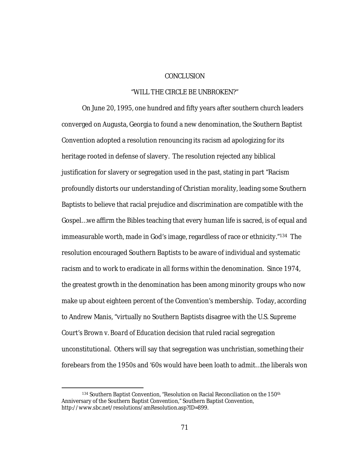## **CONCLUSION**

## "WILL THE CIRCLE BE UNBROKEN?"

On June 20, 1995, one hundred and fifty years after southern church leaders converged on Augusta, Georgia to found a new denomination, the Southern Baptist Convention adopted a resolution renouncing its racism ad apologizing for its heritage rooted in defense of slavery. The resolution rejected any biblical justification for slavery or segregation used in the past, stating in part "Racism profoundly distorts our understanding of Christian morality, leading some Southern Baptists to believe that racial prejudice and discrimination are compatible with the Gospel…we affirm the Bibles teaching that every human life is sacred, is of equal and immeasurable worth, made in God's image, regardless of race or ethnicity."134 The resolution encouraged Southern Baptists to be aware of individual and systematic racism and to work to eradicate in all forms within the denomination. Since 1974, the greatest growth in the denomination has been among minority groups who now make up about eighteen percent of the Convention's membership. Today, according to Andrew Manis, "virtually no Southern Baptists disagree with the U.S. Supreme Court's *Brown v. Board of Education* decision that ruled racial segregation unconstitutional. Others will say that segregation was unchristian, something their forebears from the 1950s and '60s would have been loath to admit…the liberals won

<sup>134</sup> Southern Baptist Convention, "Resolution on Racial Reconciliation on the 150<sup>th</sup> Anniversary of the Southern Baptist Convention," Southern Baptist Convention, http://www.sbc.net/resolutions/amResolution.asp?ID=899.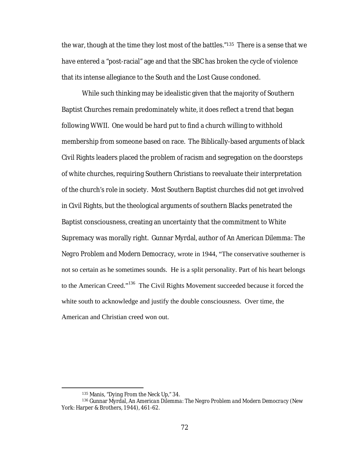the war, though at the time they lost most of the battles."135 There is a sense that we have entered a "post-racial" age and that the SBC has broken the cycle of violence that its intense allegiance to the South and the Lost Cause condoned.

While such thinking may be idealistic given that the majority of Southern Baptist Churches remain predominately white, it does reflect a trend that began following WWII. One would be hard put to find a church willing to withhold membership from someone based on race. The Biblically-based arguments of black Civil Rights leaders placed the problem of racism and segregation on the doorsteps of white churches, requiring Southern Christians to reevaluate their interpretation of the church's role in society. Most Southern Baptist churches did not get involved in Civil Rights, but the theological arguments of southern Blacks penetrated the Baptist consciousness, creating an uncertainty that the commitment to White Supremacy was morally right. Gunnar Myrdal, author of *An American Dilemma: The Negro Problem and Modern Democracy,* wrote in 1944, "The conservative southerner is not so certain as he sometimes sounds. He is a split personality. Part of his heart belongs to the American Creed."<sup>136</sup> The Civil Rights Movement succeeded because it forced the white south to acknowledge and justify the double consciousness. Over time, the American and Christian creed won out.

 <sup>135</sup> Manis, "Dying From the Neck Up," 34.

<sup>136</sup> Gunnar Myrdal, An *American Dilemma: The Negro Problem and Modern Democracy* (New York: Harper & Brothers, 1944), 461-62.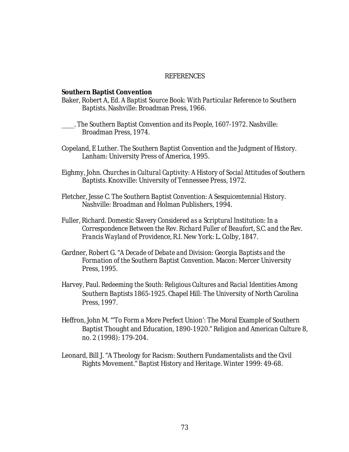## **REFERENCES**

**Southern Baptist Convention**

- Baker, Robert A, Ed. *A Baptist Source Book: With Particular Reference to Southern Baptists.* Nashville: Broadman Press, 1966.
- \_\_\_\_\_. *The Southern Baptist Convention and its People, 1607-1972*. Nashville: Broadman Press, 1974.
- Copeland, E Luther. *The Southern Baptist Convention and the Judgment of History*. Lanham: University Press of America, 1995.
- Eighmy, John. *Churches in Cultural Captivity: A History of Social Attitudes of Southern Baptists.* Knoxville: University of Tennessee Press, 1972.
- Fletcher, Jesse C. *The Southern Baptist Convention: A Sesquicentennial History*. Nashville: Broadman and Holman Publishers, 1994.
- Fuller, Richard. *Domestic Slavery Considered as a Scriptural Institution: In a Correspondence Between the Rev. Richard Fuller of Beaufort, S.C. and the Rev. Francis Wayland of Providence, R.I.* New York: L. Colby, 1847.
- Gardner, Robert G. "*A Decade of Debate and Division: Georgia Baptists and the Formation of the Southern Baptist Convention.* Macon: Mercer University Press, 1995.
- Harvey, Paul. *Redeeming the South: Religious Cultures and Racial Identities Among Southern Baptists 1865-1925*. Chapel Hill: The University of North Carolina Press, 1997.
- Heffron, John M. "'To Form a More Perfect Union': The Moral Example of Southern Baptist Thought and Education, 1890-1920." *Religion and American Culture* 8, no. 2 (1998): 179-204.
- Leonard, Bill J. "A Theology for Racism: Southern Fundamentalists and the Civil Rights Movement." *Baptist History and Heritage*. Winter 1999: 49-68.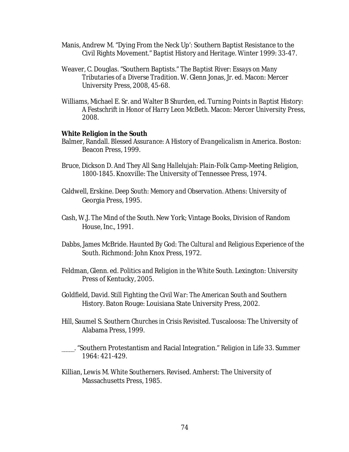- Manis, Andrew M. "Dying From the Neck Up': Southern Baptist Resistance to the Civil Rights Movement." *Baptist History and Heritage*. Winter 1999: 33-47.
- Weaver, C. Douglas. "Southern Baptists." *The Baptist River: Essays on Many Tributaries of a Diverse Tradition*. W. Glenn Jonas, Jr. ed. Macon: Mercer University Press, 2008, 45-68.
- Williams, Michael E. Sr. and Walter B Shurden, ed. *Turning Points in Baptist History: A Festschrift in Honor of Harry Leon McBeth.* Macon: Mercer University Press, 2008.
- **White Religion in the South**
- Balmer, Randall. *Blessed Assurance: A History of Evangelicalism in America.* Boston: Beacon Press, 1999.
- Bruce, Dickson D. *And They All Sang Hallelujah: Plain-Folk Camp-Meeting Religion, 1800-1845*. Knoxville: The University of Tennessee Press, 1974.
- Caldwell, Erskine. *Deep South: Memory and Observation*. Athens: University of Georgia Press, 1995.
- Cash, W.J. *The Mind of the South*. New York; Vintage Books, Division of Random House, Inc., 1991.
- Dabbs, James McBride. *Haunted By God: The Cultural and Religious Experience of the South*. Richmond: John Knox Press, 1972.
- Feldman, Glenn. ed. *Politics and Religion in the White South.* Lexington: University Press of Kentucky, 2005.
- Goldfield, David. *Still Fighting the Civil War: The American South and Southern History*. Baton Rouge: Louisiana State University Press, 2002.
- Hill, Saumel S. *Southern Churches in Crisis Revisited*. Tuscaloosa: The University of Alabama Press, 1999.
- \_\_\_\_\_. "Southern Protestantism and Racial Integration." *Religion in Life* 33. Summer 1964: 421-429.
- Killian, Lewis M. *White Southerners*. Revised. Amherst: The University of Massachusetts Press, 1985.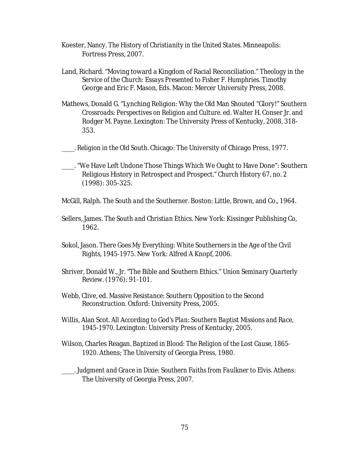- Koester, Nancy. *The History of Christianity in the United States.* Minneapolis: Fortress Press, 2007.
- Land, Richard. "Moving toward a Kingdom of Racial Reconciliation." *Theology in the Service of the Church: Essays Presented to Fisher F. Humphries.* Timothy George and Eric F. Mason, Eds. Macon: Mercer University Press, 2008.
- Mathews, Donald G. "Lynching Religion: Why the Old Man Shouted "Glory!" *Southern Crossroads: Perspectives on Religion and Culture.* ed. Walter H. Conser Jr. and Rodger M. Payne. Lexington: The University Press of Kentucky, 2008, 318- 353.
- \_\_\_\_\_. *Religion in the Old South*. Chicago: The University of Chicago Press, 1977.
- \_\_\_\_\_. "We Have Left Undone Those Things Which We Ought to Have Done": Southern Religious History in Retrospect and Prospect." *Church History* 67, no. 2 (1998): 305-325.
- McGill, Ralph. *The South and the Southerner*. Boston: Little, Brown, and Co., 1964.
- Sellers, James. *The South and Christian Ethics*. New York: Kissinger Publishing Co, 1962.
- Sokol, Jason. *There Goes My Everything: White Southerners in the Age of the Civil Rights, 1945-1975*. New York: Alfred A Knopf, 2006.
- Shriver, Donald W., Jr. "The Bible and Southern Ethics." *Union Seminary Quarterly Review*. (1976): 91-101.
- Webb, Clive, ed. *Massive Resistance: Southern Opposition to the Second Reconstruction.* Oxford: University Press, 2005.
- Willis, Alan Scot. *All According to God's Plan: Southern Baptist Missions and Race, 1945-1970.* Lexington: University Press of Kentucky, 2005.
- Wilson, Charles Reagan. *Baptized in Blood: The Religion of the Lost Cause, 1865- 1920.* Athens; The University of Georgia Press, 1980.
- \_\_\_\_\_. *Judgment and Grace in Dixie: Southern Faiths from Faulkner to Elvis*. Athens: The University of Georgia Press, 2007.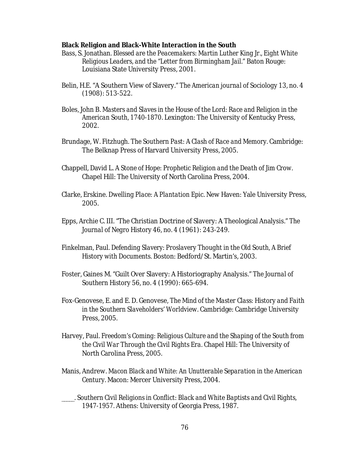**Black Religion and Black-White Interaction in the South** 

- Bass, S. Jonathan. *Blessed are the Peacemakers: Martin Luther King Jr., Eight White Religious Leaders, and the "Letter from Birmingham Jail."* Baton Rouge: Louisiana State University Press, 2001.
- Belin, H.E. "A Southern View of Slavery." *The American journal of Sociology* 13, no. 4 (1908): 513-522.
- Boles, John B. *Masters and Slaves in the House of the Lord: Race and Religion in the American South, 1740-1870*. Lexington: The University of Kentucky Press, 2002.
- Brundage, W. Fitzhugh. *The Southern Past: A Clash of Race and Memory*. Cambridge: The Belknap Press of Harvard University Press, 2005.
- Chappell, David L. *A Stone of Hope: Prophetic Religion and the Death of Jim Crow.*  Chapel Hill: The University of North Carolina Press, 2004.
- Clarke, Erskine. *Dwelling Place: A Plantation Epic*. New Haven: Yale University Press, 2005.
- Epps, Archie C. III. "The Christian Doctrine of Slavery: A Theological Analysis." *The Journal of Negro History* 46, no. 4 (1961): 243-249.
- Finkelman, Paul. *Defending Slavery: Proslavery Thought in the Old South, A Brief History with Documents.* Boston: Bedford/St. Martin's, 2003.
- Foster, Gaines M. "Guilt Over Slavery: A Historiography Analysis." *The Journal of Southern History* 56, no. 4 (1990): 665-694.
- Fox-Genovese, E. and E. D. Genovese, *The Mind of the Master Class: History and Faith in the Southern Slaveholders' Worldview.* Cambridge: Cambridge University Press, 2005.
- Harvey, Paul. *Freedom's Coming: Religious Culture and the Shaping of the South from the Civil War Through the Civil Rights Era.* Chapel Hill: The University of North Carolina Press, 2005.
- Manis, Andrew. *Macon Black and White: An Unutterable Separation in the American Century.* Macon: Mercer University Press, 2004.
- \_\_\_\_\_. *Southern Civil Religions in Conflict: Black and White Baptists and Civil Rights, 1947-1957.* Athens: University of Georgia Press, 1987.